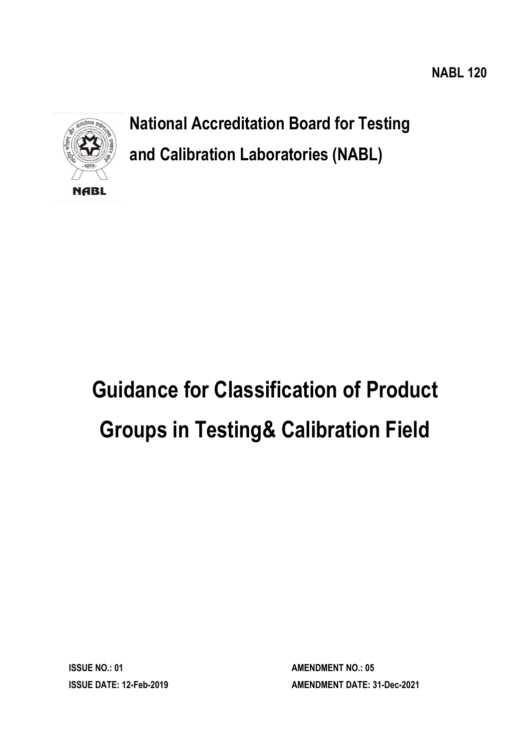**NABL 120**



**National Accreditation Board for Testing and Calibration Laboratories (NABL)**

# **Guidance for Classification of Product Groups in Testing& Calibration Field**

**ISSUE NO.: 01 AMENDMENT NO.: 05** 

**ISSUE DATE: 12-Feb-2019 AMENDMENT DATE: 31-Dec-2021**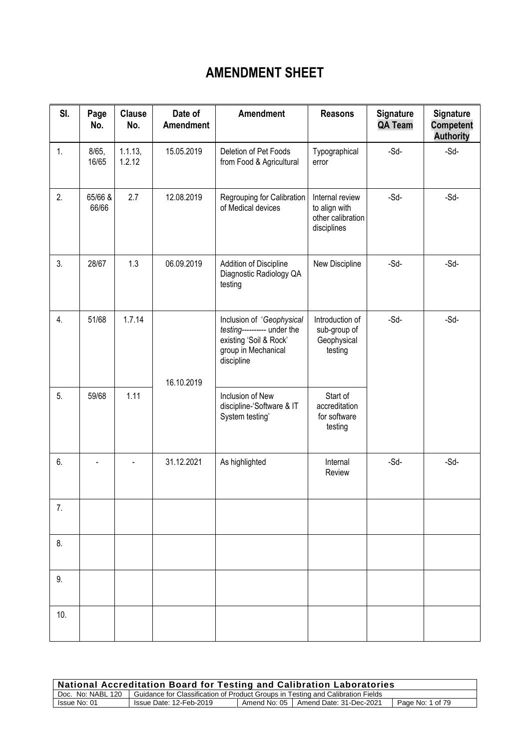# **AMENDMENT SHEET**

| SI. | Page<br>No.      | <b>Clause</b><br>No. | Date of<br><b>Amendment</b> | <b>Amendment</b>                                                                                                        | <b>Reasons</b>                                                       | <b>Signature</b><br><b>QA Team</b> | <b>Signature</b><br><b>Competent</b><br><b>Authority</b> |
|-----|------------------|----------------------|-----------------------------|-------------------------------------------------------------------------------------------------------------------------|----------------------------------------------------------------------|------------------------------------|----------------------------------------------------------|
| 1.  | 8/65,<br>16/65   | 1.1.13,<br>1.2.12    | 15.05.2019                  | Deletion of Pet Foods<br>from Food & Agricultural                                                                       | Typographical<br>error                                               | $-Sd-$                             | $-Sd-$                                                   |
| 2.  | 65/66 &<br>66/66 | 2.7                  | 12.08.2019                  | Regrouping for Calibration<br>of Medical devices                                                                        | Internal review<br>to align with<br>other calibration<br>disciplines | $-Sd-$                             | $-Sd-$                                                   |
| 3.  | 28/67            | 1.3                  | 06.09.2019                  | Addition of Discipline<br>Diagnostic Radiology QA<br>testing                                                            | New Discipline                                                       | $-Sd$ -                            | $-Sd-$                                                   |
| 4.  | 51/68            | 1.7.14               | 16.10.2019                  | Inclusion of 'Geophysical<br>testing---------- under the<br>existing 'Soil & Rock'<br>group in Mechanical<br>discipline | Introduction of<br>sub-group of<br>Geophysical<br>testing            | $-Sd$ -                            | $-Sd-$                                                   |
| 5.  | 59/68            | 1.11                 |                             | Inclusion of New<br>discipline-'Software & IT<br>System testing'                                                        | Start of<br>accreditation<br>for software<br>testing                 |                                    |                                                          |
| 6.  |                  |                      | 31.12.2021                  | As highlighted                                                                                                          | Internal<br>Review                                                   | $-Sd$ -                            | $-Sd$ -                                                  |
| 7.  |                  |                      |                             |                                                                                                                         |                                                                      |                                    |                                                          |
| 8.  |                  |                      |                             |                                                                                                                         |                                                                      |                                    |                                                          |
| 9.  |                  |                      |                             |                                                                                                                         |                                                                      |                                    |                                                          |
| 10. |                  |                      |                             |                                                                                                                         |                                                                      |                                    |                                                          |

| <b>National Accreditation Board for Testing and Calibration Laboratories</b>                        |                         |  |                                        |                  |  |
|-----------------------------------------------------------------------------------------------------|-------------------------|--|----------------------------------------|------------------|--|
| Doc. No: NABL 120   Guidance for Classification of Product Groups in Testing and Calibration Fields |                         |  |                                        |                  |  |
| Issue No: 01                                                                                        | Issue Date: 12-Feb-2019 |  | Amend No: 05   Amend Date: 31-Dec-2021 | Page No: 1 of 79 |  |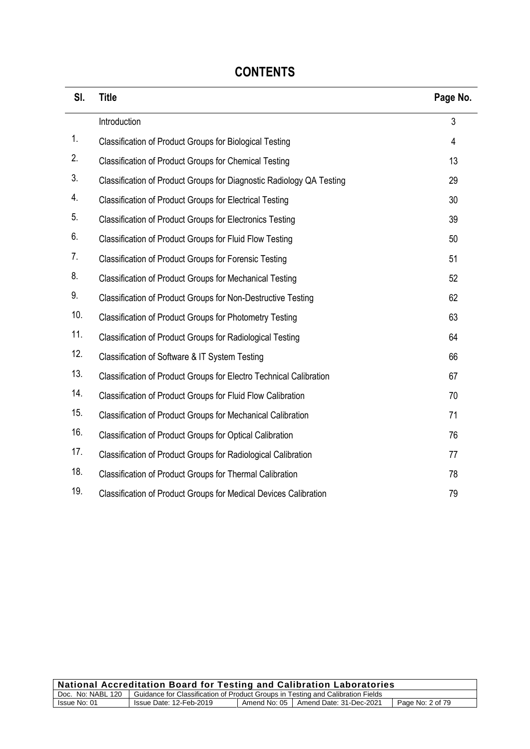| SI. | <b>Title</b>                                                              | Page No. |
|-----|---------------------------------------------------------------------------|----------|
|     | Introduction                                                              | 3        |
| 1.  | <b>Classification of Product Groups for Biological Testing</b>            | 4        |
| 2.  | <b>Classification of Product Groups for Chemical Testing</b>              | 13       |
| 3.  | Classification of Product Groups for Diagnostic Radiology QA Testing      | 29       |
| 4.  | <b>Classification of Product Groups for Electrical Testing</b>            | 30       |
| 5.  | <b>Classification of Product Groups for Electronics Testing</b>           | 39       |
| 6.  | Classification of Product Groups for Fluid Flow Testing                   | 50       |
| 7.  | <b>Classification of Product Groups for Forensic Testing</b>              | 51       |
| 8.  | <b>Classification of Product Groups for Mechanical Testing</b>            | 52       |
| 9.  | <b>Classification of Product Groups for Non-Destructive Testing</b>       | 62       |
| 10. | <b>Classification of Product Groups for Photometry Testing</b>            | 63       |
| 11. | <b>Classification of Product Groups for Radiological Testing</b>          | 64       |
| 12. | Classification of Software & IT System Testing                            | 66       |
| 13. | <b>Classification of Product Groups for Electro Technical Calibration</b> | 67       |
| 14. | Classification of Product Groups for Fluid Flow Calibration               | 70       |
| 15. | <b>Classification of Product Groups for Mechanical Calibration</b>        | 71       |
| 16. | <b>Classification of Product Groups for Optical Calibration</b>           | 76       |
| 17. | Classification of Product Groups for Radiological Calibration             | 77       |
| 18. | Classification of Product Groups for Thermal Calibration                  | 78       |
| 19. | Classification of Product Groups for Medical Devices Calibration          | 79       |

# **CONTENTS**

| <b>National Accreditation Board for Testing and Calibration Laboratories</b> |                                                                                                     |  |                                        |                  |  |
|------------------------------------------------------------------------------|-----------------------------------------------------------------------------------------------------|--|----------------------------------------|------------------|--|
|                                                                              | Doc. No: NABL 120   Guidance for Classification of Product Groups in Testing and Calibration Fields |  |                                        |                  |  |
| Issue No: 01                                                                 | Issue Date: 12-Feb-2019                                                                             |  | Amend No: 05   Amend Date: 31-Dec-2021 | Page No: 2 of 79 |  |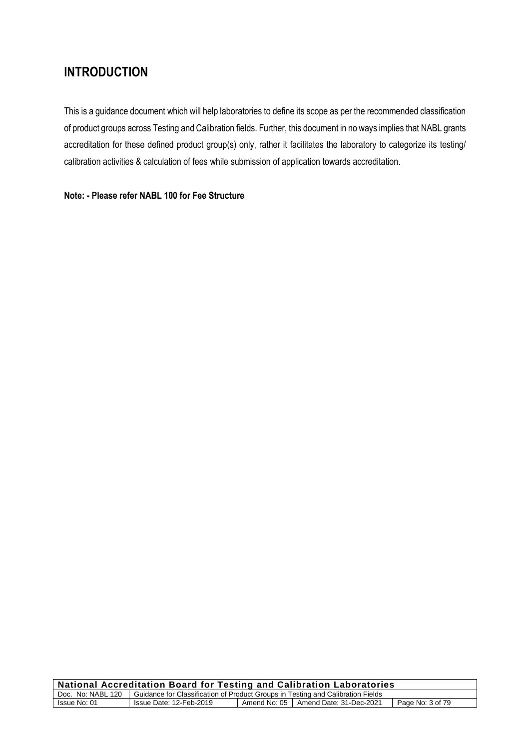# **INTRODUCTION**

This is a guidance document which will help laboratories to define its scope as per the recommended classification of product groups across Testing and Calibration fields. Further, this document in no ways implies that NABL grants accreditation for these defined product group(s) only, rather it facilitates the laboratory to categorize its testing/ calibration activities & calculation of fees while submission of application towards accreditation.

#### **Note: - Please refer NABL 100 for Fee Structure**

| <b>National Accreditation Board for Testing and Calibration Laboratories</b>                        |                         |  |                                        |                  |
|-----------------------------------------------------------------------------------------------------|-------------------------|--|----------------------------------------|------------------|
| Doc. No: NABL 120   Guidance for Classification of Product Groups in Testing and Calibration Fields |                         |  |                                        |                  |
| Issue No: 01                                                                                        | Issue Date: 12-Feb-2019 |  | Amend No: 05   Amend Date: 31-Dec-2021 | Page No: 3 of 79 |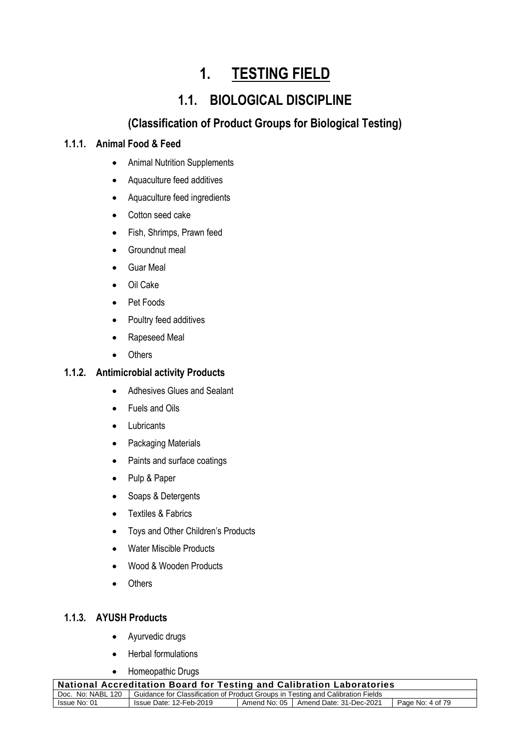# **1. TESTING FIELD**

# **1.1. BIOLOGICAL DISCIPLINE**

# **(Classification of Product Groups for Biological Testing)**

# **1.1.1. Animal Food & Feed**

- Animal Nutrition Supplements
- Aquaculture feed additives
- Aquaculture feed ingredients
- Cotton seed cake
- Fish, Shrimps, Prawn feed
- Groundnut meal
- Guar Meal
- Oil Cake
- Pet Foods
- Poultry feed additives
- Rapeseed Meal
- Others

#### **1.1.2. Antimicrobial activity Products**

- Adhesives Glues and Sealant
- Fuels and Oils
- Lubricants
- Packaging Materials
- Paints and surface coatings
- Pulp & Paper
- Soaps & Detergents
- Textiles & Fabrics
- Toys and Other Children's Products
- Water Miscible Products
- Wood & Wooden Products
- Others

# **1.1.3. AYUSH Products**

- Ayurvedic drugs
- Herbal formulations
- Homeopathic Drugs

| <b>National Accreditation Board for Testing and Calibration Laboratories</b> |                                                                                                     |  |                                        |                  |  |
|------------------------------------------------------------------------------|-----------------------------------------------------------------------------------------------------|--|----------------------------------------|------------------|--|
|                                                                              | Doc. No: NABL 120   Guidance for Classification of Product Groups in Testing and Calibration Fields |  |                                        |                  |  |
| Issue No: 01                                                                 | Issue Date: 12-Feb-2019                                                                             |  | Amend No: 05   Amend Date: 31-Dec-2021 | Page No: 4 of 79 |  |
|                                                                              |                                                                                                     |  |                                        |                  |  |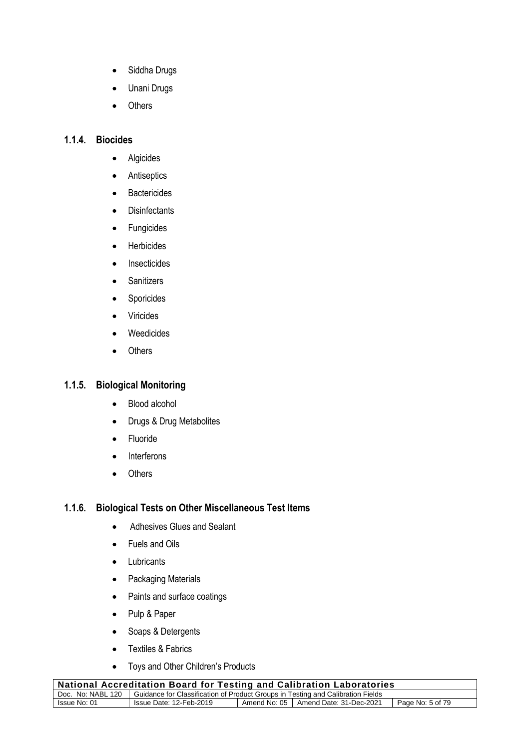- Siddha Drugs
- Unani Drugs
- Others

# **1.1.4. Biocides**

- Algicides
- Antiseptics
- Bactericides
- Disinfectants
- Fungicides
- Herbicides
- Insecticides
- Sanitizers
- Sporicides
- Viricides
- Weedicides
- Others

#### **1.1.5. Biological Monitoring**

- Blood alcohol
- Drugs & Drug Metabolites
- Fluoride
- Interferons
- Others

#### **1.1.6. Biological Tests on Other Miscellaneous Test Items**

- Adhesives Glues and Sealant
- Fuels and Oils
- Lubricants
- Packaging Materials
- Paints and surface coatings
- Pulp & Paper
- Soaps & Detergents
- Textiles & Fabrics
- Toys and Other Children's Products

| <b>National Accreditation Board for Testing and Calibration Laboratories</b>                          |  |  |  |  |  |
|-------------------------------------------------------------------------------------------------------|--|--|--|--|--|
| Doc. No: NABL 120   Guidance for Classification of Product Groups in Testing and Calibration Fields   |  |  |  |  |  |
| Amend No: 05   Amend Date: 31-Dec-2021<br>Page No: 5 of 79<br>Issue No: 01<br>Issue Date: 12-Feb-2019 |  |  |  |  |  |
|                                                                                                       |  |  |  |  |  |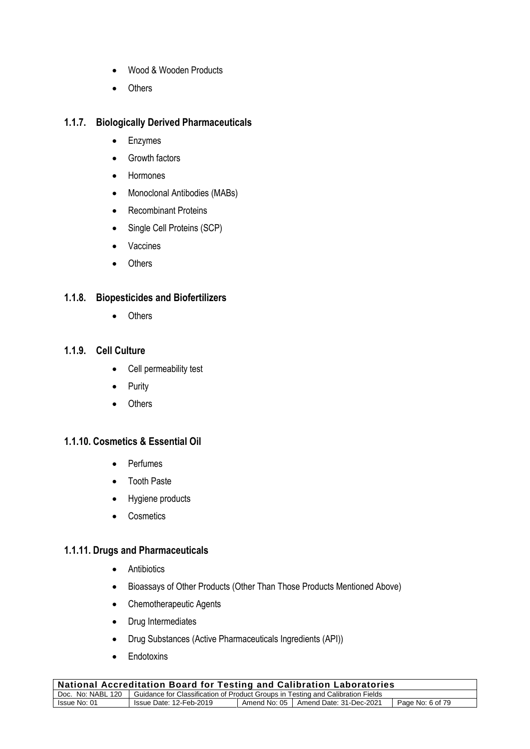- Wood & Wooden Products
- Others

#### **1.1.7. Biologically Derived Pharmaceuticals**

- Enzymes
- Growth factors
- Hormones
- Monoclonal Antibodies (MABs)
- Recombinant Proteins
- Single Cell Proteins (SCP)
- Vaccines
- Others

#### **1.1.8. Biopesticides and Biofertilizers**

• Others

# **1.1.9. Cell Culture**

- Cell permeability test
- Purity
- Others

# **1.1.10. Cosmetics & Essential Oil**

- Perfumes
- Tooth Paste
- Hygiene products
- Cosmetics

#### **1.1.11. Drugs and Pharmaceuticals**

- Antibiotics
- Bioassays of Other Products (Other Than Those Products Mentioned Above)
- Chemotherapeutic Agents
- Drug Intermediates
- Drug Substances (Active Pharmaceuticals Ingredients (API))
- Endotoxins

| <b>National Accreditation Board for Testing and Calibration Laboratories</b>                                |                         |  |                                        |                  |  |
|-------------------------------------------------------------------------------------------------------------|-------------------------|--|----------------------------------------|------------------|--|
| <b>Sultance for Classification of Product Groups in Testing and Calibration Fields</b><br>Doc. No: NABL 120 |                         |  |                                        |                  |  |
| Issue No: 01                                                                                                | Issue Date: 12-Feb-2019 |  | Amend No: 05   Amend Date: 31-Dec-2021 | Page No: 6 of 79 |  |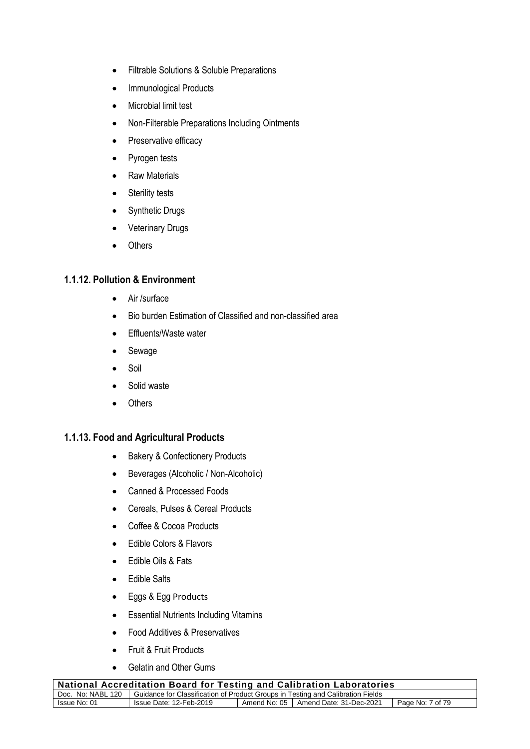- Filtrable Solutions & Soluble Preparations
- Immunological Products
- Microbial limit test
- Non-Filterable Preparations Including Ointments
- Preservative efficacy
- Pyrogen tests
- Raw Materials
- Sterility tests
- Synthetic Drugs
- Veterinary Drugs
- Others

#### **1.1.12. Pollution & Environment**

- Air /surface
- Bio burden Estimation of Classified and non-classified area
- Effluents/Waste water
- Sewage
- Soil
- Solid waste
- Others

#### **1.1.13. Food and Agricultural Products**

- Bakery & Confectionery Products
- Beverages (Alcoholic / Non-Alcoholic)
- Canned & Processed Foods
- Cereals, Pulses & Cereal Products
- Coffee & Cocoa Products
- Edible Colors & Flavors
- Edible Oils & Fats
- Edible Salts
- Eggs & Egg Products
- Essential Nutrients Including Vitamins
- Food Additives & Preservatives
- Fruit & Fruit Products
- Gelatin and Other Gums

| National Accreditation Board for Testing and Calibration Laboratories |                                                                                                     |  |                                        |                  |  |
|-----------------------------------------------------------------------|-----------------------------------------------------------------------------------------------------|--|----------------------------------------|------------------|--|
|                                                                       | Doc. No: NABL 120   Guidance for Classification of Product Groups in Testing and Calibration Fields |  |                                        |                  |  |
| Issue No: 01                                                          | Issue Date: 12-Feb-2019                                                                             |  | Amend No: 05   Amend Date: 31-Dec-2021 | Page No: 7 of 79 |  |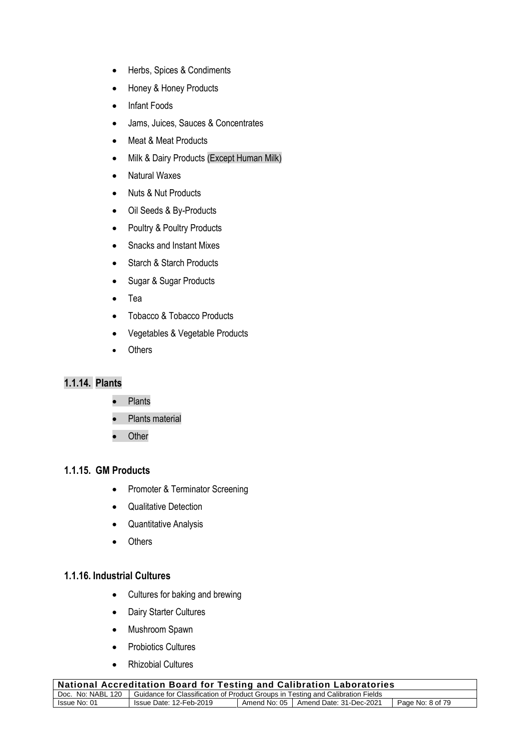- Herbs, Spices & Condiments
- Honey & Honey Products
- Infant Foods
- Jams, Juices, Sauces & Concentrates
- Meat & Meat Products
- Milk & Dairy Products (Except Human Milk)
- Natural Waxes
- Nuts & Nut Products
- Oil Seeds & By-Products
- Poultry & Poultry Products
- Snacks and Instant Mixes
- Starch & Starch Products
- Sugar & Sugar Products
- Tea
- Tobacco & Tobacco Products
- Vegetables & Vegetable Products
- Others

# **1.1.14. Plants**

- Plants
- Plants material
- Other

#### **1.1.15. GM Products**

- Promoter & Terminator Screening
- Qualitative Detection
- Quantitative Analysis
- Others

#### **1.1.16. Industrial Cultures**

- Cultures for baking and brewing
- Dairy Starter Cultures
- Mushroom Spawn
- Probiotics Cultures
- Rhizobial Cultures

| $\overline{a}$ National Accreditation Board for Testing and Calibration Laboratories                  |  |  |  |  |  |
|-------------------------------------------------------------------------------------------------------|--|--|--|--|--|
| Doc. No: NABL 120   Guidance for Classification of Product Groups in Testing and Calibration Fields   |  |  |  |  |  |
| Issue Date: 12-Feb-2019<br>Amend No: 05   Amend Date: 31-Dec-2021<br>Issue No: 01<br>Page No: 8 of 79 |  |  |  |  |  |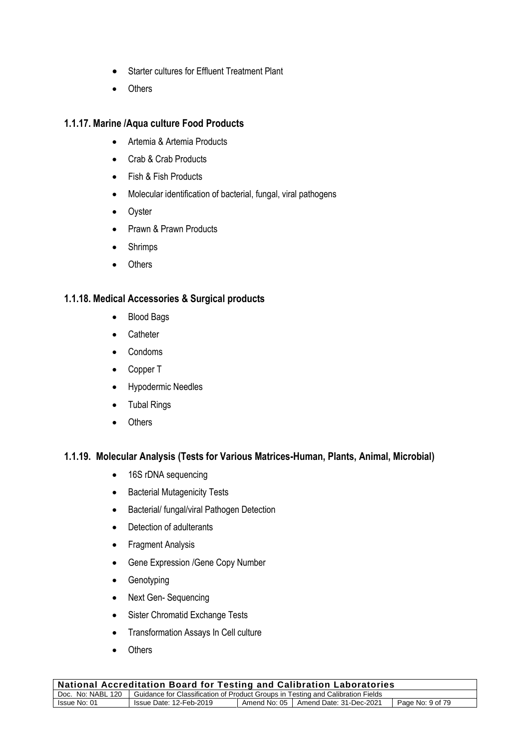- Starter cultures for Effluent Treatment Plant
- Others

#### **1.1.17. Marine /Aqua culture Food Products**

- Artemia & Artemia Products
- Crab & Crab Products
- Fish & Fish Products
- Molecular identification of bacterial, fungal, viral pathogens
- Oyster
- Prawn & Prawn Products
- Shrimps
- Others

# **1.1.18. Medical Accessories & Surgical products**

- Blood Bags
- Catheter
- Condoms
- Copper T
- Hypodermic Needles
- Tubal Rings
- Others

# **1.1.19. Molecular Analysis (Tests for Various Matrices-Human, Plants, Animal, Microbial)**

- 16S rDNA sequencing
- Bacterial Mutagenicity Tests
- Bacterial/ fungal/viral Pathogen Detection
- Detection of adulterants
- Fragment Analysis
- Gene Expression /Gene Copy Number
- Genotyping
- Next Gen- Sequencing
- Sister Chromatid Exchange Tests
- Transformation Assays In Cell culture
- Others

| <b>National Accreditation Board for Testing and Calibration Laboratories</b> |                                                                                                     |  |                                        |                  |  |
|------------------------------------------------------------------------------|-----------------------------------------------------------------------------------------------------|--|----------------------------------------|------------------|--|
|                                                                              | Doc. No: NABL 120   Guidance for Classification of Product Groups in Testing and Calibration Fields |  |                                        |                  |  |
| Issue No: 01                                                                 | Issue Date: 12-Feb-2019                                                                             |  | Amend No: 05   Amend Date: 31-Dec-2021 | Page No: 9 of 79 |  |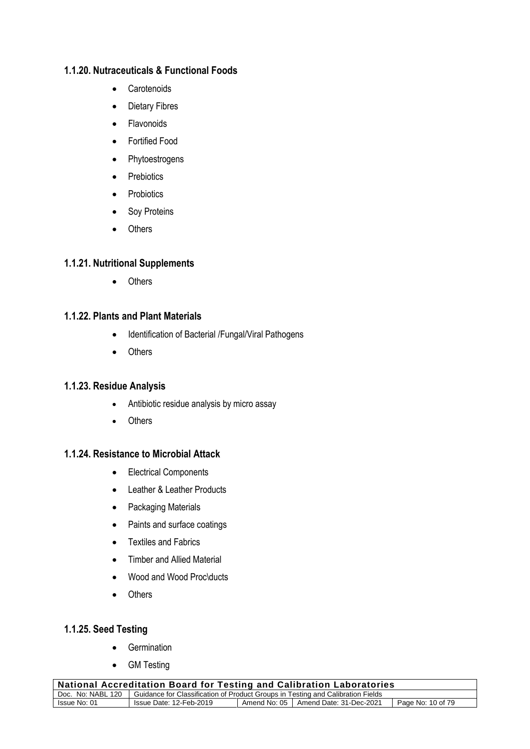#### **1.1.20. Nutraceuticals & Functional Foods**

- Carotenoids
- Dietary Fibres
- Flavonoids
- Fortified Food
- Phytoestrogens
- Prebiotics
- Probiotics
- Soy Proteins
- Others

# **1.1.21. Nutritional Supplements**

• Others

#### **1.1.22. Plants and Plant Materials**

- Identification of Bacterial /Fungal/Viral Pathogens
- Others

#### **1.1.23. Residue Analysis**

- Antibiotic residue analysis by micro assay
- Others

# **1.1.24. Resistance to Microbial Attack**

- Electrical Components
- Leather & Leather Products
- Packaging Materials
- Paints and surface coatings
- Textiles and Fabrics
- Timber and Allied Material
- Wood and Wood Proc\ducts
- Others

#### **1.1.25. Seed Testing**

- Germination
- GM Testing

| <b>National Accreditation Board for Testing and Calibration Laboratories</b> |                                                                                                     |  |                                        |                   |  |
|------------------------------------------------------------------------------|-----------------------------------------------------------------------------------------------------|--|----------------------------------------|-------------------|--|
|                                                                              | Doc. No: NABL 120   Guidance for Classification of Product Groups in Testing and Calibration Fields |  |                                        |                   |  |
| Issue No: 01                                                                 | Issue Date: 12-Feb-2019                                                                             |  | Amend No: 05   Amend Date: 31-Dec-2021 | Page No: 10 of 79 |  |
|                                                                              |                                                                                                     |  |                                        |                   |  |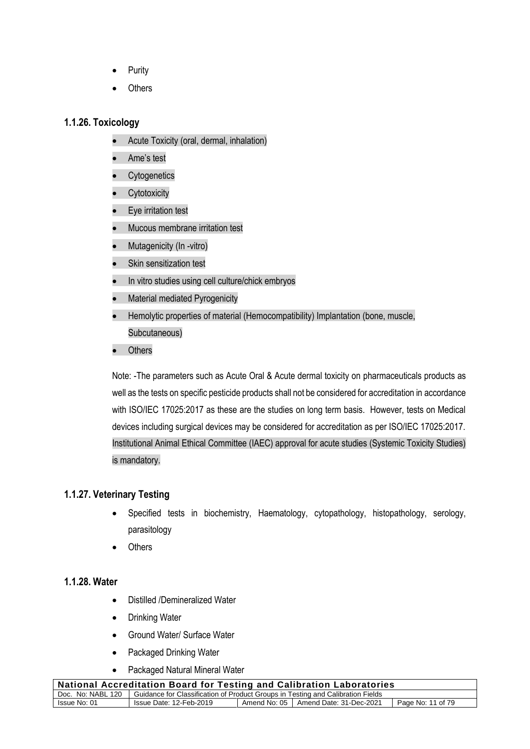- **Purity**
- **Others**

#### **1.1.26. Toxicology**

- Acute Toxicity (oral, dermal, inhalation)
- Ame's test
- Cytogenetics
- Cytotoxicity
- Eye irritation test
- Mucous membrane irritation test
- Mutagenicity (In -vitro)
- Skin sensitization test
- In vitro studies using cell culture/chick embryos
- Material mediated Pyrogenicity
- Hemolytic properties of material (Hemocompatibility) Implantation (bone, muscle, Subcutaneous)
- **Others**

Note: -The parameters such as Acute Oral & Acute dermal toxicity on pharmaceuticals products as well as the tests on specific pesticide products shall not be considered for accreditation in accordance with ISO/IEC 17025:2017 as these are the studies on long term basis. However, tests on Medical devices including surgical devices may be considered for accreditation as per ISO/IEC 17025:2017. Institutional Animal Ethical Committee (IAEC) approval for acute studies (Systemic Toxicity Studies) is mandatory.

# **1.1.27. Veterinary Testing**

- Specified tests in biochemistry, Haematology, cytopathology, histopathology, serology, parasitology
- **Others**

#### **1.1.28. Water**

- Distilled /Demineralized Water
- Drinking Water
- Ground Water/ Surface Water
- Packaged Drinking Water
- Packaged Natural Mineral Water

| National Accreditation Board for Testing and Calibration Laboratories                               |                         |  |                                        |                   |
|-----------------------------------------------------------------------------------------------------|-------------------------|--|----------------------------------------|-------------------|
| Doc. No: NABL 120   Guidance for Classification of Product Groups in Testing and Calibration Fields |                         |  |                                        |                   |
| Issue No: 01                                                                                        | Issue Date: 12-Feb-2019 |  | Amend No: 05   Amend Date: 31-Dec-2021 | Page No: 11 of 79 |
|                                                                                                     |                         |  |                                        |                   |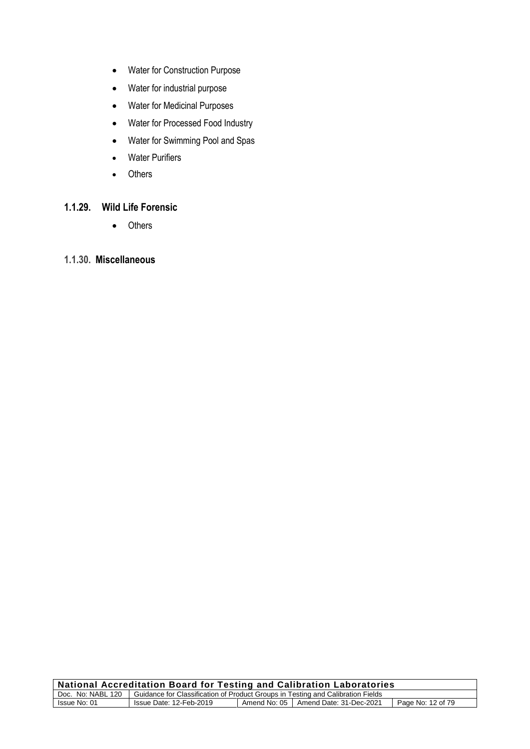- Water for Construction Purpose
- Water for industrial purpose
- Water for Medicinal Purposes
- Water for Processed Food Industry
- Water for Swimming Pool and Spas
- Water Purifiers
- Others

# **1.1.29. Wild Life Forensic**

• Others

# **1.1.30. Miscellaneous**

| <b>National Accreditation Board for Testing and Calibration Laboratories</b>                        |                         |  |                                        |                   |
|-----------------------------------------------------------------------------------------------------|-------------------------|--|----------------------------------------|-------------------|
| Doc. No: NABL 120   Guidance for Classification of Product Groups in Testing and Calibration Fields |                         |  |                                        |                   |
| Issue No: 01                                                                                        | Issue Date: 12-Feb-2019 |  | Amend No: 05   Amend Date: 31-Dec-2021 | Page No: 12 of 79 |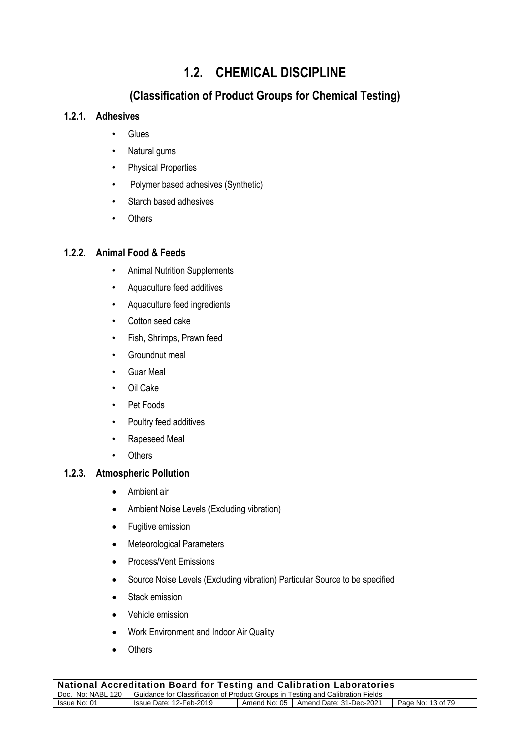# **1.2. CHEMICAL DISCIPLINE**

# **(Classification of Product Groups for Chemical Testing)**

# **1.2.1. Adhesives**

- **Glues**
- Natural gums
- Physical Properties
- Polymer based adhesives (Synthetic)
- Starch based adhesives
- Others

# **1.2.2. Animal Food & Feeds**

- Animal Nutrition Supplements
- Aquaculture feed additives
- Aquaculture feed ingredients
- Cotton seed cake
- Fish, Shrimps, Prawn feed
- Groundnut meal
- Guar Meal
- Oil Cake
- Pet Foods
- Poultry feed additives
- Rapeseed Meal
- Others

# **1.2.3. Atmospheric Pollution**

- Ambient air
- Ambient Noise Levels (Excluding vibration)
- Fugitive emission
- Meteorological Parameters
- Process/Vent Emissions
- Source Noise Levels (Excluding vibration) Particular Source to be specified
- Stack emission
- Vehicle emission
- Work Environment and Indoor Air Quality
- Others

|                                                                                                        | <b>National Accreditation Board for Testing and Calibration Laboratories</b>                        |  |  |  |  |
|--------------------------------------------------------------------------------------------------------|-----------------------------------------------------------------------------------------------------|--|--|--|--|
|                                                                                                        | Doc. No: NABL 120   Guidance for Classification of Product Groups in Testing and Calibration Fields |  |  |  |  |
| Amend No: 05   Amend Date: 31-Dec-2021<br>Issue Date: 12-Feb-2019<br>Page No: 13 of 79<br>Issue No: 01 |                                                                                                     |  |  |  |  |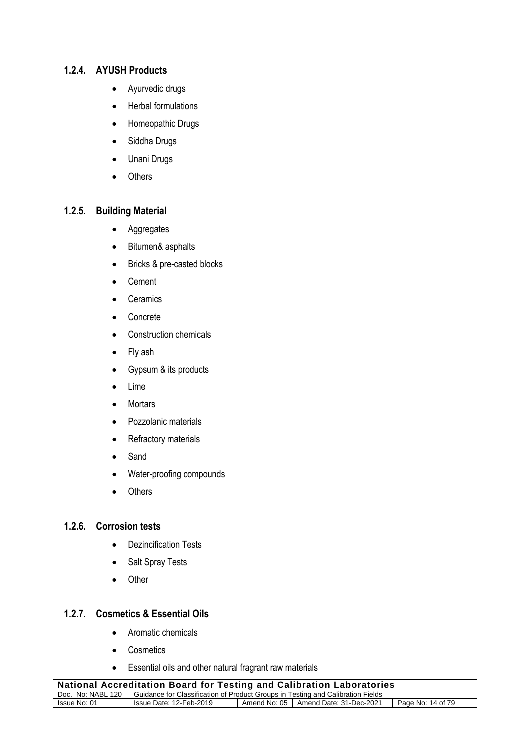#### **1.2.4. AYUSH Products**

- Ayurvedic drugs
- Herbal formulations
- Homeopathic Drugs
- Siddha Drugs
- Unani Drugs
- Others

# **1.2.5. Building Material**

- Aggregates
- Bitumen& asphalts
- Bricks & pre-casted blocks
- Cement
- Ceramics
- Concrete
- Construction chemicals
- Fly ash
- Gypsum & its products
- Lime
- Mortars
- Pozzolanic materials
- Refractory materials
- Sand
- Water-proofing compounds
- Others

#### **1.2.6. Corrosion tests**

- Dezincification Tests
- Salt Spray Tests
- Other

#### **1.2.7. Cosmetics & Essential Oils**

- Aromatic chemicals
- Cosmetics
- Essential oils and other natural fragrant raw materials

| National Accreditation Board for Testing and Calibration Laboratories                                  |  |  |  |  |
|--------------------------------------------------------------------------------------------------------|--|--|--|--|
| Doc. No: NABL 120   Guidance for Classification of Product Groups in Testing and Calibration Fields    |  |  |  |  |
| Amend No: 05   Amend Date: 31-Dec-2021<br>Issue No: 01<br>Page No: 14 of 79<br>Issue Date: 12-Feb-2019 |  |  |  |  |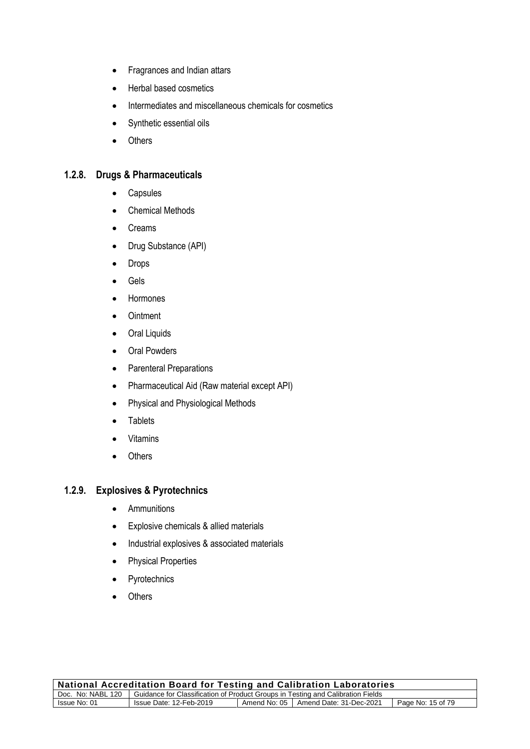- Fragrances and Indian attars
- Herbal based cosmetics
- Intermediates and miscellaneous chemicals for cosmetics
- Synthetic essential oils
- Others

#### **1.2.8. Drugs & Pharmaceuticals**

- Capsules
- Chemical Methods
- Creams
- Drug Substance (API)
- Drops
- Gels
- Hormones
- Ointment
- Oral Liquids
- Oral Powders
- Parenteral Preparations
- Pharmaceutical Aid (Raw material except API)
- Physical and Physiological Methods
- Tablets
- Vitamins
- Others

#### **1.2.9. Explosives & Pyrotechnics**

- Ammunitions
- Explosive chemicals & allied materials
- Industrial explosives & associated materials
- Physical Properties
- Pyrotechnics
- Others

| <b>National Accreditation Board for Testing and Calibration Laboratories</b>                           |  |  |  |  |
|--------------------------------------------------------------------------------------------------------|--|--|--|--|
| Doc. No: NABL 120   Guidance for Classification of Product Groups in Testing and Calibration Fields    |  |  |  |  |
| Amend No: 05   Amend Date: 31-Dec-2021<br>Page No: 15 of 79<br>Issue No: 01<br>Issue Date: 12-Feb-2019 |  |  |  |  |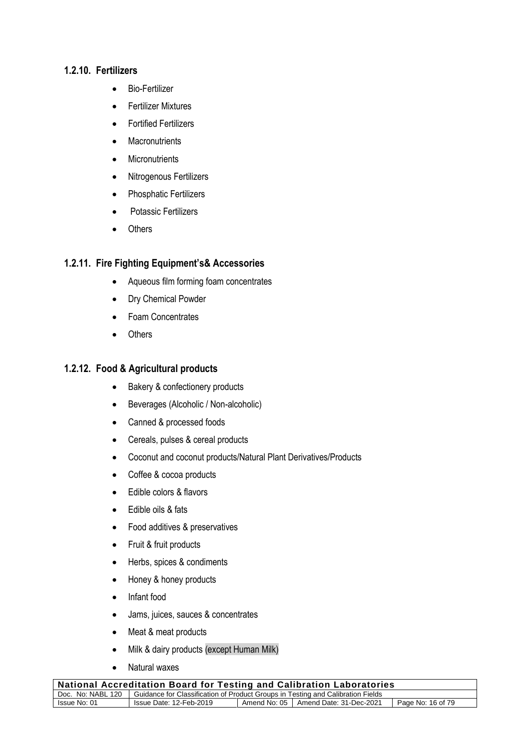#### **1.2.10. Fertilizers**

- Bio-Fertilizer
- Fertilizer Mixtures
- Fortified Fertilizers
- Macronutrients
- Micronutrients
- Nitrogenous Fertilizers
- Phosphatic Fertilizers
- Potassic Fertilizers
- **Others**

# **1.2.11. Fire Fighting Equipment's& Accessories**

- Aqueous film forming foam concentrates
- Dry Chemical Powder
- Foam Concentrates
- Others

#### **1.2.12. Food & Agricultural products**

- Bakery & confectionery products
- Beverages (Alcoholic / Non-alcoholic)
- Canned & processed foods
- Cereals, pulses & cereal products
- Coconut and coconut products/Natural Plant Derivatives/Products
- Coffee & cocoa products
- Edible colors & flavors
- Edible oils & fats
- Food additives & preservatives
- Fruit & fruit products
- Herbs, spices & condiments
- Honey & honey products
- Infant food
- Jams, juices, sauces & concentrates
- Meat & meat products
- Milk & dairy products (except Human Milk)
- Natural waxes

| National Accreditation Board for Testing and Calibration Laboratories                               |                         |  |                                        |                   |
|-----------------------------------------------------------------------------------------------------|-------------------------|--|----------------------------------------|-------------------|
| Doc. No: NABL 120   Guidance for Classification of Product Groups in Testing and Calibration Fields |                         |  |                                        |                   |
| Issue No: 01                                                                                        | Issue Date: 12-Feb-2019 |  | Amend No: 05   Amend Date: 31-Dec-2021 | Page No: 16 of 79 |
|                                                                                                     |                         |  |                                        |                   |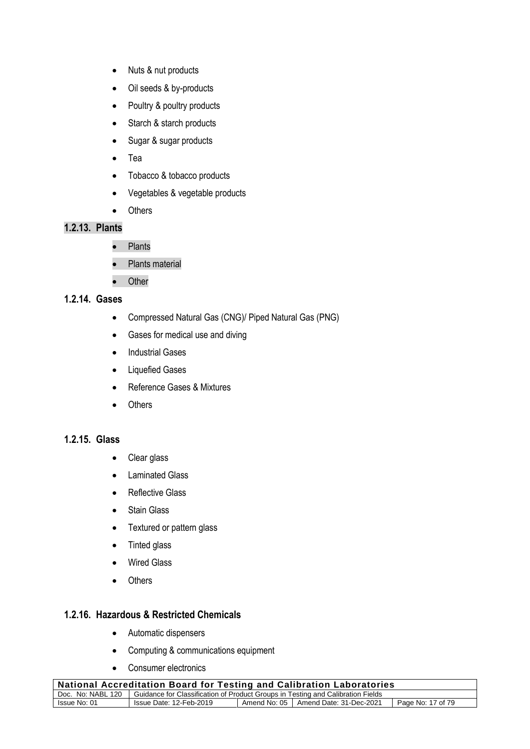- Nuts & nut products
- Oil seeds & by-products
- Poultry & poultry products
- Starch & starch products
- Sugar & sugar products
- Tea
- Tobacco & tobacco products
- Vegetables & vegetable products
- Others

# **1.2.13. Plants**

- Plants
- Plants material
- Other

#### **1.2.14. Gases**

- Compressed Natural Gas (CNG)/ Piped Natural Gas (PNG)
- Gases for medical use and diving
- Industrial Gases
- Liquefied Gases
- Reference Gases & Mixtures
- Others

#### **1.2.15. Glass**

- Clear glass
- Laminated Glass
- Reflective Glass
- Stain Glass
- Textured or pattern glass
- Tinted glass
- Wired Glass
- Others

#### **1.2.16. Hazardous & Restricted Chemicals**

- Automatic dispensers
- Computing & communications equipment
- Consumer electronics

| National Accreditation Board for Testing and Calibration Laboratories                                  |  |  |  |  |
|--------------------------------------------------------------------------------------------------------|--|--|--|--|
| Doc. No: NABL 120   Guidance for Classification of Product Groups in Testing and Calibration Fields    |  |  |  |  |
| Amend No: 05   Amend Date: 31-Dec-2021<br>Page No: 17 of 79<br>Issue No: 01<br>Issue Date: 12-Feb-2019 |  |  |  |  |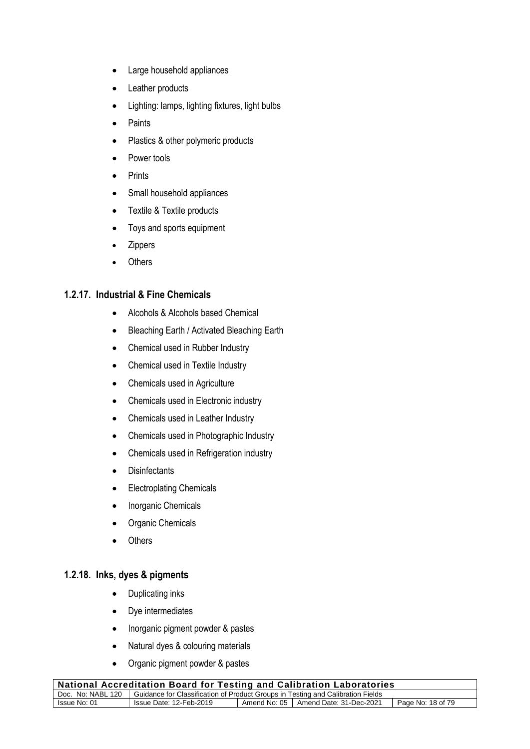- Large household appliances
- Leather products
- Lighting: lamps, lighting fixtures, light bulbs
- Paints
- Plastics & other polymeric products
- Power tools
- Prints
- Small household appliances
- Textile & Textile products
- Toys and sports equipment
- **Zippers**
- **Others**

#### **1.2.17. Industrial & Fine Chemicals**

- Alcohols & Alcohols based Chemical
- Bleaching Earth / Activated Bleaching Earth
- Chemical used in Rubber Industry
- Chemical used in Textile Industry
- Chemicals used in Agriculture
- Chemicals used in Electronic industry
- Chemicals used in Leather Industry
- Chemicals used in Photographic Industry
- Chemicals used in Refrigeration industry
- Disinfectants
- Electroplating Chemicals
- Inorganic Chemicals
- Organic Chemicals
- **Others**

#### **1.2.18. Inks, dyes & pigments**

- Duplicating inks
- Dye intermediates
- Inorganic pigment powder & pastes
- Natural dyes & colouring materials
- Organic pigment powder & pastes

| , National Accreditation Board for Testing and Calibration Laboratories                             |                         |  |                                        |                   |
|-----------------------------------------------------------------------------------------------------|-------------------------|--|----------------------------------------|-------------------|
| Doc. No: NABL 120   Guidance for Classification of Product Groups in Testing and Calibration Fields |                         |  |                                        |                   |
| Issue No: 01                                                                                        | Issue Date: 12-Feb-2019 |  | Amend No: 05   Amend Date: 31-Dec-2021 | Page No: 18 of 79 |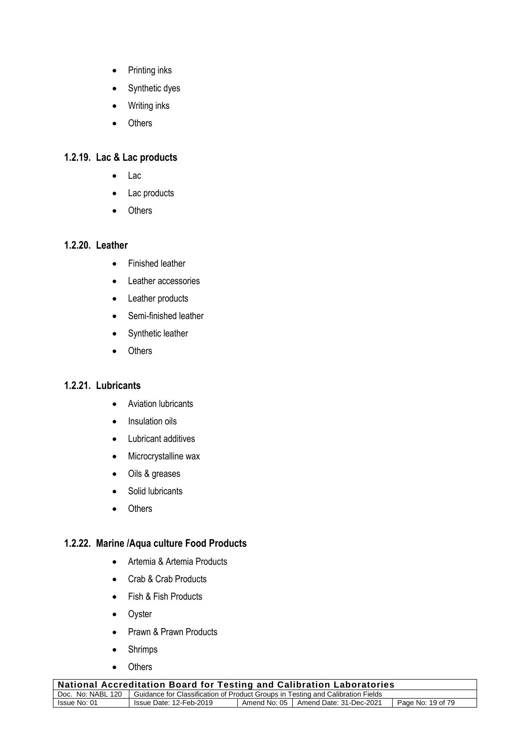- Printing inks
- Synthetic dyes
- Writing inks
- Others

# **1.2.19. Lac & Lac products**

- Lac
- Lac products
- Others

# **1.2.20. Leather**

- Finished leather
- Leather accessories
- Leather products
- Semi-finished leather
- Synthetic leather
- Others

# **1.2.21. Lubricants**

- Aviation lubricants
- Insulation oils
- Lubricant additives
- Microcrystalline wax
- Oils & greases
- Solid lubricants
- Others

# **1.2.22. Marine /Aqua culture Food Products**

- Artemia & Artemia Products
- Crab & Crab Products
- Fish & Fish Products
- Oyster
- Prawn & Prawn Products
- Shrimps
- Others

| <b>National Accreditation Board for Testing and Calibration Laboratories</b>                        |                         |  |                                        |                   |
|-----------------------------------------------------------------------------------------------------|-------------------------|--|----------------------------------------|-------------------|
| Doc. No: NABL 120   Guidance for Classification of Product Groups in Testing and Calibration Fields |                         |  |                                        |                   |
| Issue No: 01                                                                                        | Issue Date: 12-Feb-2019 |  | Amend No: 05   Amend Date: 31-Dec-2021 | Page No: 19 of 79 |
|                                                                                                     |                         |  |                                        |                   |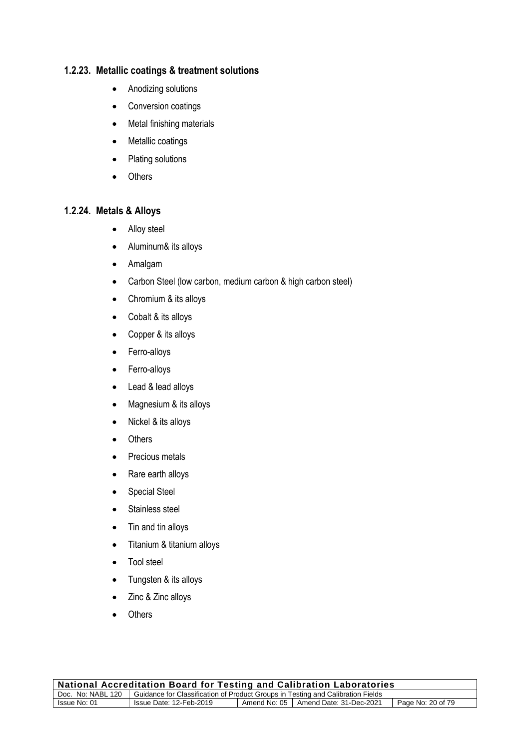#### **1.2.23. Metallic coatings & treatment solutions**

- Anodizing solutions
- Conversion coatings
- Metal finishing materials
- Metallic coatings
- Plating solutions
- Others

#### **1.2.24. Metals & Alloys**

- Alloy steel
- Aluminum& its alloys
- Amalgam
- Carbon Steel (low carbon, medium carbon & high carbon steel)
- Chromium & its alloys
- Cobalt & its alloys
- Copper & its alloys
- Ferro-alloys
- Ferro-alloys
- Lead & lead alloys
- Magnesium & its alloys
- Nickel & its alloys
- Others
- Precious metals
- Rare earth alloys
- Special Steel
- Stainless steel
- Tin and tin alloys
- Titanium & titanium alloys
- Tool steel
- Tungsten & its alloys
- Zinc & Zinc alloys
- Others

| <b>National Accreditation Board for Testing and Calibration Laboratories</b>                        |                                                                                        |  |  |  |  |
|-----------------------------------------------------------------------------------------------------|----------------------------------------------------------------------------------------|--|--|--|--|
| Doc. No: NABL 120   Guidance for Classification of Product Groups in Testing and Calibration Fields |                                                                                        |  |  |  |  |
| Issue No: 01                                                                                        | Amend No: 05   Amend Date: 31-Dec-2021<br>Page No: 20 of 79<br>Issue Date: 12-Feb-2019 |  |  |  |  |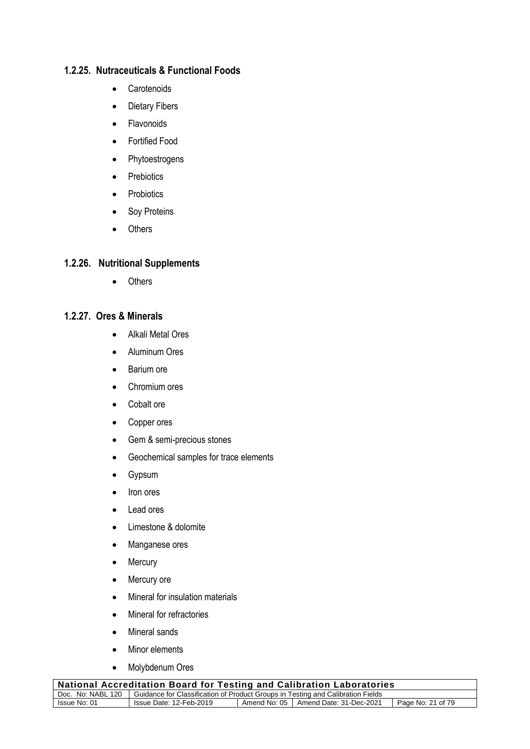# **1.2.25. Nutraceuticals & Functional Foods**

- Carotenoids
- Dietary Fibers
- Flavonoids
- Fortified Food
- Phytoestrogens
- Prebiotics
- Probiotics
- Soy Proteins
- Others

#### **1.2.26. Nutritional Supplements**

• Others

#### **1.2.27. Ores & Minerals**

- Alkali Metal Ores
- Aluminum Ores
- Barium ore
- Chromium ores
- Cobalt ore
- Copper ores
- Gem & semi-precious stones
- Geochemical samples for trace elements
- Gypsum
- Iron ores
- Lead ores
- Limestone & dolomite
- Manganese ores
- Mercury
- Mercury ore
- Mineral for insulation materials
- Mineral for refractories
- Mineral sands
- Minor elements
- Molybdenum Ores

| National Accreditation Board for Testing and Calibration Laboratories                               |                         |  |                                        |                   |
|-----------------------------------------------------------------------------------------------------|-------------------------|--|----------------------------------------|-------------------|
| Doc. No: NABL 120   Guidance for Classification of Product Groups in Testing and Calibration Fields |                         |  |                                        |                   |
| Issue No: 01                                                                                        | Issue Date: 12-Feb-2019 |  | Amend No: 05   Amend Date: 31-Dec-2021 | Page No: 21 of 79 |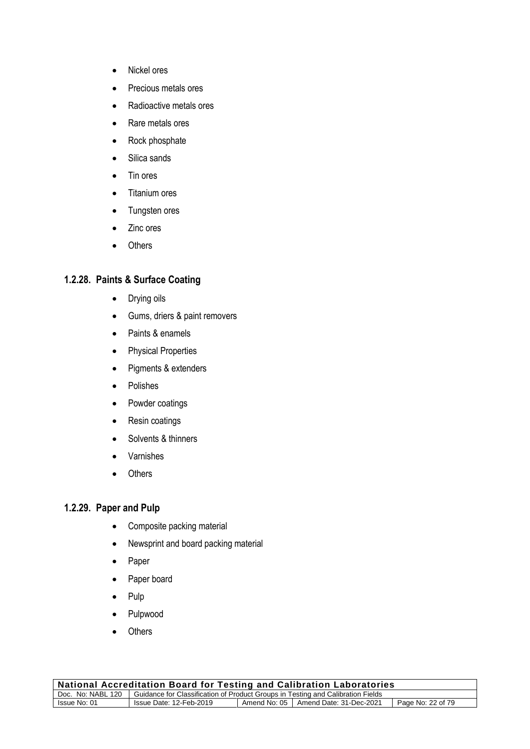- Nickel ores
- Precious metals ores
- Radioactive metals ores
- Rare metals ores
- Rock phosphate
- Silica sands
- Tin ores
- Titanium ores
- Tungsten ores
- Zinc ores
- Others

# **1.2.28. Paints & Surface Coating**

- Drying oils
- Gums, driers & paint removers
- Paints & enamels
- Physical Properties
- Pigments & extenders
- Polishes
- Powder coatings
- Resin coatings
- Solvents & thinners
- Varnishes
- Others

# **1.2.29. Paper and Pulp**

- Composite packing material
- Newsprint and board packing material
- Paper
- Paper board
- Pulp
- Pulpwood
- **Others**

| <b>National Accreditation Board for Testing and Calibration Laboratories</b>                        |                                                                                        |  |  |  |  |
|-----------------------------------------------------------------------------------------------------|----------------------------------------------------------------------------------------|--|--|--|--|
| Doc. No: NABL 120   Guidance for Classification of Product Groups in Testing and Calibration Fields |                                                                                        |  |  |  |  |
| Issue No: 01                                                                                        | Amend No: 05   Amend Date: 31-Dec-2021<br>Page No: 22 of 79<br>Issue Date: 12-Feb-2019 |  |  |  |  |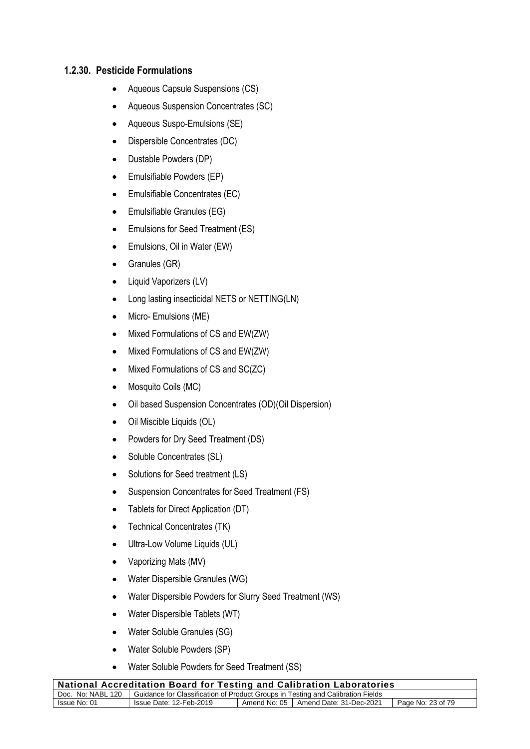#### **1.2.30. Pesticide Formulations**

- Aqueous Capsule Suspensions (CS)
- Aqueous Suspension Concentrates (SC)
- Aqueous Suspo-Emulsions (SE)
- Dispersible Concentrates (DC)
- Dustable Powders (DP)
- Emulsifiable Powders (EP)
- Emulsifiable Concentrates (EC)
- Emulsifiable Granules (EG)
- Emulsions for Seed Treatment (ES)
- Emulsions, Oil in Water (EW)
- Granules (GR)
- Liquid Vaporizers (LV)
- Long lasting insecticidal NETS or NETTING(LN)
- Micro- Emulsions (ME)
- Mixed Formulations of CS and EW(ZW)
- Mixed Formulations of CS and EW(ZW)
- Mixed Formulations of CS and SC(ZC)
- Mosquito Coils (MC)
- Oil based Suspension Concentrates (OD)(Oil Dispersion)
- Oil Miscible Liquids (OL)
- Powders for Dry Seed Treatment (DS)
- Soluble Concentrates (SL)
- Solutions for Seed treatment (LS)
- Suspension Concentrates for Seed Treatment (FS)
- Tablets for Direct Application (DT)
- Technical Concentrates (TK)
- Ultra-Low Volume Liquids (UL)
- Vaporizing Mats (MV)
- Water Dispersible Granules (WG)
- Water Dispersible Powders for Slurry Seed Treatment (WS)
- Water Dispersible Tablets (WT)
- Water Soluble Granules (SG)
- Water Soluble Powders (SP)
- Water Soluble Powders for Seed Treatment (SS)

| <b>National Accreditation Board for Testing and Calibration Laboratories</b>                        |                                                                                        |  |  |  |
|-----------------------------------------------------------------------------------------------------|----------------------------------------------------------------------------------------|--|--|--|
| Doc. No: NABL 120   Guidance for Classification of Product Groups in Testing and Calibration Fields |                                                                                        |  |  |  |
| Issue No: 01                                                                                        | Amend No: 05   Amend Date: 31-Dec-2021<br>Page No: 23 of 79<br>Issue Date: 12-Feb-2019 |  |  |  |
|                                                                                                     |                                                                                        |  |  |  |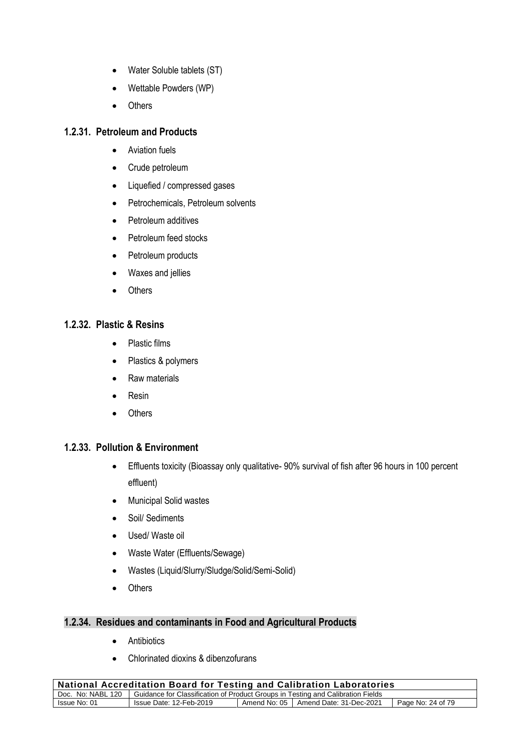- Water Soluble tablets (ST)
- Wettable Powders (WP)
- Others

#### **1.2.31. Petroleum and Products**

- Aviation fuels
- Crude petroleum
- Liquefied / compressed gases
- Petrochemicals, Petroleum solvents
- Petroleum additives
- Petroleum feed stocks
- Petroleum products
- Waxes and jellies
- Others

#### **1.2.32. Plastic & Resins**

- Plastic films
- Plastics & polymers
- Raw materials
- Resin
- Others

#### **1.2.33. Pollution & Environment**

- Effluents toxicity (Bioassay only qualitative- 90% survival of fish after 96 hours in 100 percent effluent)
- Municipal Solid wastes
- Soil/ Sediments
- Used/ Waste oil
- Waste Water (Effluents/Sewage)
- Wastes (Liquid/Slurry/Sludge/Solid/Semi-Solid)
- Others

#### **1.2.34. Residues and contaminants in Food and Agricultural Products**

- Antibiotics
- Chlorinated dioxins & dibenzofurans

| <b>National Accreditation Board for Testing and Calibration Laboratories</b>                        |                         |  |                                        |                   |
|-----------------------------------------------------------------------------------------------------|-------------------------|--|----------------------------------------|-------------------|
| Doc. No: NABL 120   Guidance for Classification of Product Groups in Testing and Calibration Fields |                         |  |                                        |                   |
| Issue No: 01                                                                                        | Issue Date: 12-Feb-2019 |  | Amend No: 05   Amend Date: 31-Dec-2021 | Page No: 24 of 79 |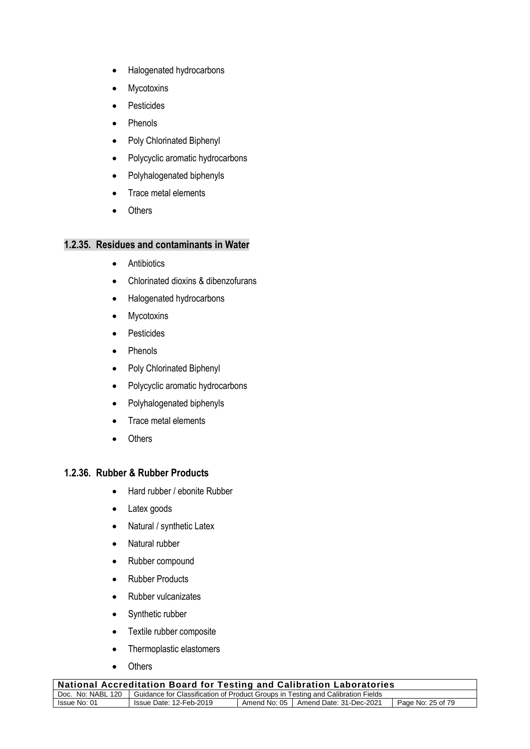- Halogenated hydrocarbons
- Mycotoxins
- Pesticides
- Phenols
- Poly Chlorinated Biphenyl
- Polycyclic aromatic hydrocarbons
- Polyhalogenated biphenyls
- Trace metal elements
- Others

#### **1.2.35. Residues and contaminants in Water**

- Antibiotics
- Chlorinated dioxins & dibenzofurans
- Halogenated hydrocarbons
- Mycotoxins
- Pesticides
- Phenols
- Poly Chlorinated Biphenyl
- Polycyclic aromatic hydrocarbons
- Polyhalogenated biphenyls
- Trace metal elements
- Others

#### **1.2.36. Rubber & Rubber Products**

- Hard rubber / ebonite Rubber
- Latex goods
- Natural / synthetic Latex
- Natural rubber
- Rubber compound
- Rubber Products
- Rubber vulcanizates
- Synthetic rubber
- Textile rubber composite
- Thermoplastic elastomers
- Others

| <b>National Accreditation Board for Testing and Calibration Laboratories</b>                        |                                                                                        |  |  |  |
|-----------------------------------------------------------------------------------------------------|----------------------------------------------------------------------------------------|--|--|--|
| Doc. No: NABL 120   Guidance for Classification of Product Groups in Testing and Calibration Fields |                                                                                        |  |  |  |
| Issue No: 01                                                                                        | Amend No: 05   Amend Date: 31-Dec-2021<br>Page No: 25 of 79<br>Issue Date: 12-Feb-2019 |  |  |  |
|                                                                                                     |                                                                                        |  |  |  |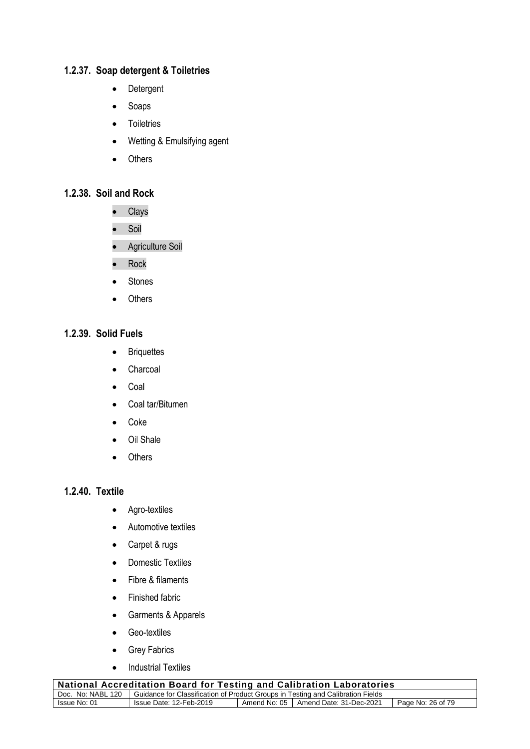# **1.2.37. Soap detergent & Toiletries**

- Detergent
- Soaps
- Toiletries
- Wetting & Emulsifying agent
- Others

# **1.2.38. Soil and Rock**

- Clays
- Soil
- Agriculture Soil
- Rock
- Stones
- Others

# **1.2.39. Solid Fuels**

- Briquettes
- Charcoal
- Coal
- Coal tar/Bitumen
- Coke
- Oil Shale
- Others

#### **1.2.40. Textile**

- Agro-textiles
- Automotive textiles
- Carpet & rugs
- Domestic Textiles
- Fibre & filaments
- Finished fabric
- Garments & Apparels
- Geo-textiles
- Grey Fabrics
- Industrial Textiles

| National Accreditation Board for Testing and Calibration Laboratories                               |                         |  |                                        |                   |
|-----------------------------------------------------------------------------------------------------|-------------------------|--|----------------------------------------|-------------------|
| Doc. No: NABL 120   Guidance for Classification of Product Groups in Testing and Calibration Fields |                         |  |                                        |                   |
| Issue No: 01                                                                                        | Issue Date: 12-Feb-2019 |  | Amend No: 05   Amend Date: 31-Dec-2021 | Page No: 26 of 79 |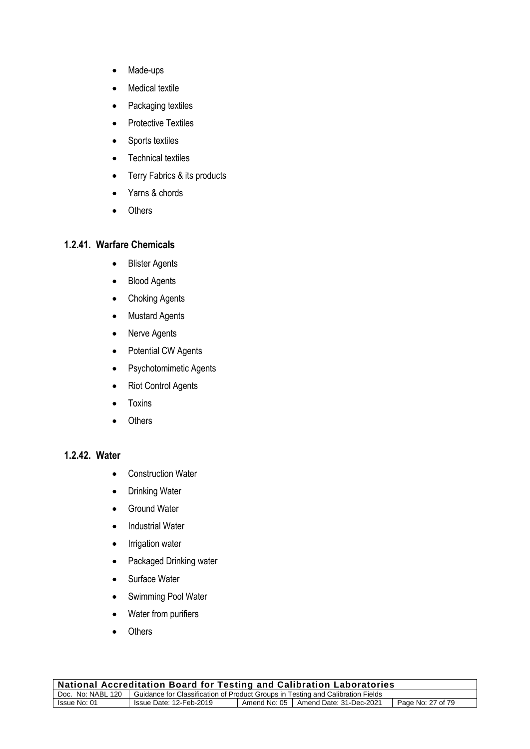- Made-ups
- Medical textile
- Packaging textiles
- Protective Textiles
- Sports textiles
- Technical textiles
- Terry Fabrics & its products
- Yarns & chords
- Others

#### **1.2.41. Warfare Chemicals**

- Blister Agents
- Blood Agents
- Choking Agents
- Mustard Agents
- Nerve Agents
- Potential CW Agents
- Psychotomimetic Agents
- Riot Control Agents
- Toxins
- Others

# **1.2.42. Water**

- Construction Water
- Drinking Water
- Ground Water
- Industrial Water
- Irrigation water
- Packaged Drinking water
- Surface Water
- Swimming Pool Water
- Water from purifiers
- Others

| <b>National Accreditation Board for Testing and Calibration Laboratories</b>                        |                                                                                        |  |  |  |  |
|-----------------------------------------------------------------------------------------------------|----------------------------------------------------------------------------------------|--|--|--|--|
| Doc. No: NABL 120   Guidance for Classification of Product Groups in Testing and Calibration Fields |                                                                                        |  |  |  |  |
| Issue No: 01                                                                                        | Amend No: 05   Amend Date: 31-Dec-2021<br>Page No: 27 of 79<br>Issue Date: 12-Feb-2019 |  |  |  |  |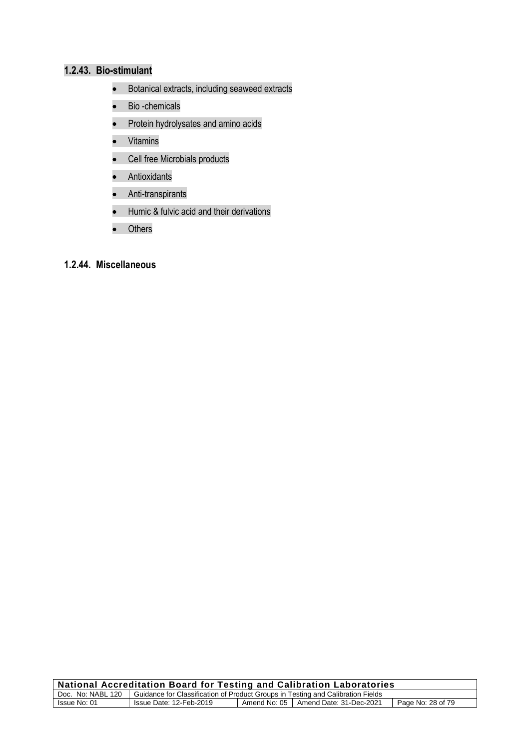# **1.2.43. Bio-stimulant**

- Botanical extracts, including seaweed extracts
- Bio -chemicals
- Protein hydrolysates and amino acids
- Vitamins
- Cell free Microbials products
- Antioxidants
- Anti-transpirants
- Humic & fulvic acid and their derivations
- Others

# **1.2.44. Miscellaneous**

| $\,$ National Accreditation Board for Testing and Calibration Laboratories                          |                         |  |                                        |                   |
|-----------------------------------------------------------------------------------------------------|-------------------------|--|----------------------------------------|-------------------|
| Doc. No: NABL 120   Guidance for Classification of Product Groups in Testing and Calibration Fields |                         |  |                                        |                   |
| Issue No: 01                                                                                        | Issue Date: 12-Feb-2019 |  | Amend No: 05   Amend Date: 31-Dec-2021 | Page No: 28 of 79 |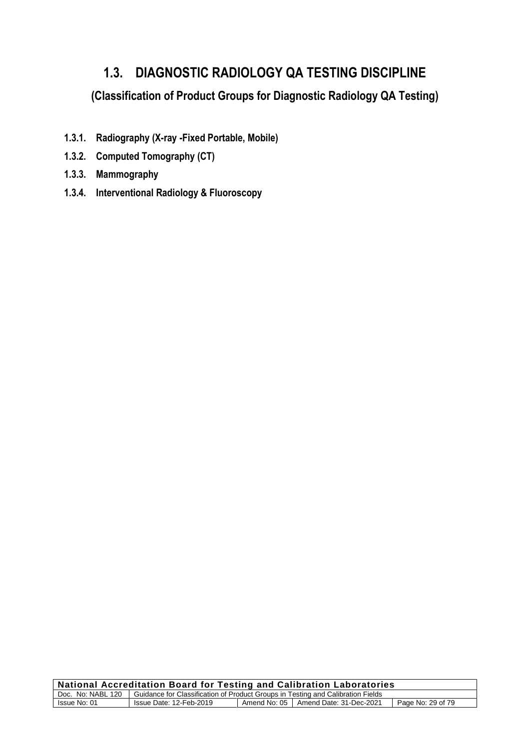# **1.3. DIAGNOSTIC RADIOLOGY QA TESTING DISCIPLINE**

**(Classification of Product Groups for Diagnostic Radiology QA Testing)**

- **1.3.1. Radiography (X-ray -Fixed Portable, Mobile)**
- **1.3.2. Computed Tomography (CT)**
- **1.3.3. Mammography**
- **1.3.4. Interventional Radiology & Fluoroscopy**

| <b>National Accreditation Board for Testing and Calibration Laboratories</b>                           |  |  |  |
|--------------------------------------------------------------------------------------------------------|--|--|--|
| Doc. No: NABL 120   Guidance for Classification of Product Groups in Testing and Calibration Fields    |  |  |  |
| Amend No: 05   Amend Date: 31-Dec-2021<br>Page No: 29 of 79<br>Issue No: 01<br>Issue Date: 12-Feb-2019 |  |  |  |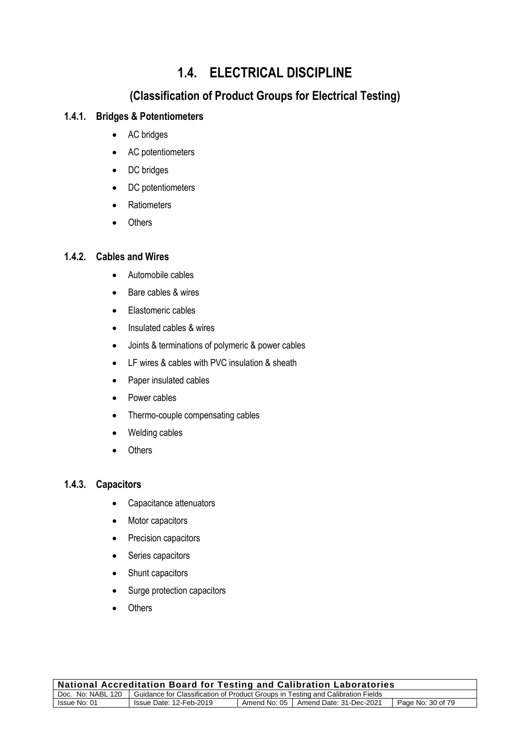# **1.4. ELECTRICAL DISCIPLINE**

# **(Classification of Product Groups for Electrical Testing)**

# **1.4.1. Bridges & Potentiometers**

- AC bridges
- AC potentiometers
- DC bridges
- DC potentiometers
- Ratiometers
- Others

# **1.4.2. Cables and Wires**

- Automobile cables
- Bare cables & wires
- Elastomeric cables
- Insulated cables & wires
- Joints & terminations of polymeric & power cables
- LF wires & cables with PVC insulation & sheath
- Paper insulated cables
- Power cables
- Thermo-couple compensating cables
- Welding cables
- Others

#### **1.4.3. Capacitors**

- Capacitance attenuators
- Motor capacitors
- Precision capacitors
- Series capacitors
- Shunt capacitors
- Surge protection capacitors
- Others

| <b>National Accreditation Board for Testing and Calibration Laboratories</b>                        |                                                                                        |  |  |  |
|-----------------------------------------------------------------------------------------------------|----------------------------------------------------------------------------------------|--|--|--|
| Doc. No: NABL 120   Guidance for Classification of Product Groups in Testing and Calibration Fields |                                                                                        |  |  |  |
| Issue No: 01                                                                                        | Issue Date: 12-Feb-2019<br>Amend No: 05   Amend Date: 31-Dec-2021<br>Page No: 30 of 79 |  |  |  |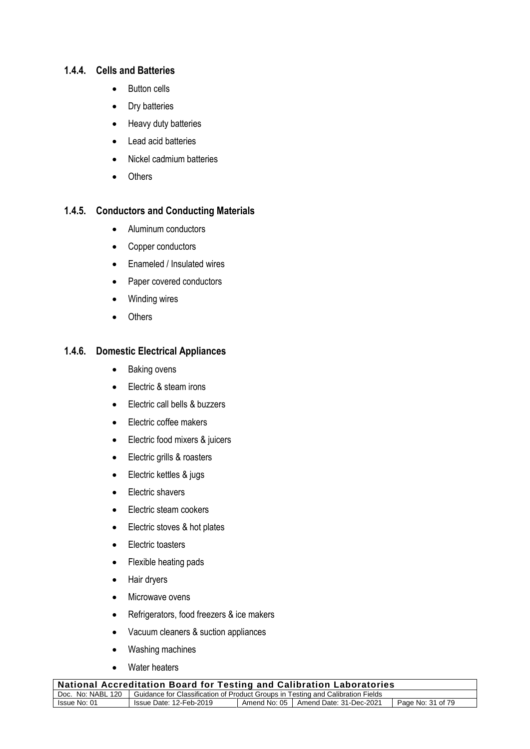#### **1.4.4. Cells and Batteries**

- Button cells
- Dry batteries
- Heavy duty batteries
- Lead acid batteries
- Nickel cadmium batteries
- Others

#### **1.4.5. Conductors and Conducting Materials**

- Aluminum conductors
- Copper conductors
- Enameled / Insulated wires
- Paper covered conductors
- Winding wires
- Others

#### **1.4.6. Domestic Electrical Appliances**

- Baking ovens
- Electric & steam irons
- Electric call bells & buzzers
- Electric coffee makers
- Electric food mixers & juicers
- Electric grills & roasters
- Electric kettles & jugs
- Electric shavers
- Electric steam cookers
- Electric stoves & hot plates
- Electric toasters
- Flexible heating pads
- Hair dryers
- Microwave ovens
- Refrigerators, food freezers & ice makers
- Vacuum cleaners & suction appliances
- Washing machines
- Water heaters

| National Accreditation Board for Testing and Calibration Laboratories                               |                         |  |                                        |                   |
|-----------------------------------------------------------------------------------------------------|-------------------------|--|----------------------------------------|-------------------|
| Doc. No: NABL 120   Guidance for Classification of Product Groups in Testing and Calibration Fields |                         |  |                                        |                   |
| Issue No: 01                                                                                        | Issue Date: 12-Feb-2019 |  | Amend No: 05   Amend Date: 31-Dec-2021 | Page No: 31 of 79 |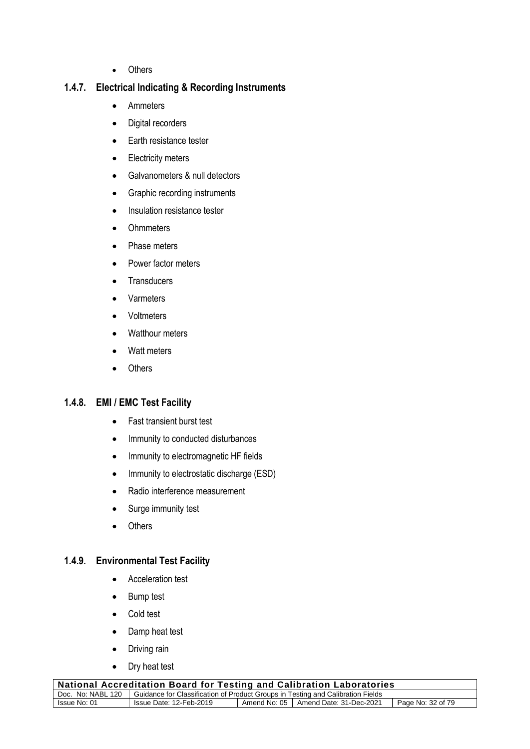• Others

# **1.4.7. Electrical Indicating & Recording Instruments**

- Ammeters
- Digital recorders
- Earth resistance tester
- Electricity meters
- Galvanometers & null detectors
- Graphic recording instruments
- Insulation resistance tester
- Ohmmeters
- Phase meters
- Power factor meters
- Transducers
- Varmeters
- Voltmeters
- Watthour meters
- Watt meters
- Others

# **1.4.8. EMI / EMC Test Facility**

- Fast transient burst test
- Immunity to conducted disturbances
- Immunity to electromagnetic HF fields
- Immunity to electrostatic discharge (ESD)
- Radio interference measurement
- Surge immunity test
- Others

# **1.4.9. Environmental Test Facility**

- Acceleration test
- Bump test
- Cold test
- Damp heat test
- Driving rain
- Dry heat test

| <b>National Accreditation Board for Testing and Calibration Laboratories</b>                        |                         |  |                                        |                   |
|-----------------------------------------------------------------------------------------------------|-------------------------|--|----------------------------------------|-------------------|
| Doc. No: NABL 120   Guidance for Classification of Product Groups in Testing and Calibration Fields |                         |  |                                        |                   |
| Issue No: 01                                                                                        | Issue Date: 12-Feb-2019 |  | Amend No: 05   Amend Date: 31-Dec-2021 | Page No: 32 of 79 |
|                                                                                                     |                         |  |                                        |                   |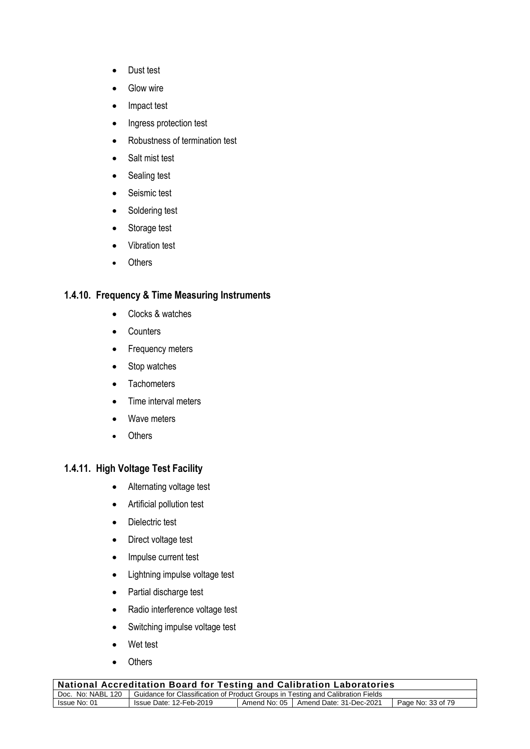- Dust test
- Glow wire
- Impact test
- Ingress protection test
- Robustness of termination test
- Salt mist test
- Sealing test
- Seismic test
- Soldering test
- Storage test
- Vibration test
- Others

# **1.4.10. Frequency & Time Measuring Instruments**

- Clocks & watches
- **Counters**
- Frequency meters
- Stop watches
- Tachometers
- Time interval meters
- Wave meters
- Others

# **1.4.11. High Voltage Test Facility**

- Alternating voltage test
- Artificial pollution test
- Dielectric test
- Direct voltage test
- Impulse current test
- Lightning impulse voltage test
- Partial discharge test
- Radio interference voltage test
- Switching impulse voltage test
- Wet test
- Others

| $_{\rm i}$ National Accreditation Board for Testing and Calibration Laboratories                    |                         |  |                                        |                   |
|-----------------------------------------------------------------------------------------------------|-------------------------|--|----------------------------------------|-------------------|
| Doc. No: NABL 120   Guidance for Classification of Product Groups in Testing and Calibration Fields |                         |  |                                        |                   |
| Issue No: 01                                                                                        | Issue Date: 12-Feb-2019 |  | Amend No: 05   Amend Date: 31-Dec-2021 | Page No: 33 of 79 |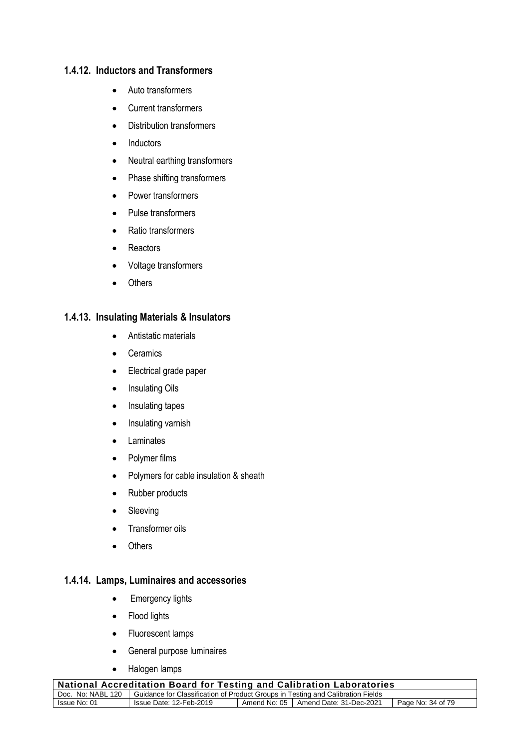#### **1.4.12. Inductors and Transformers**

- Auto transformers
- Current transformers
- Distribution transformers
- Inductors
- Neutral earthing transformers
- Phase shifting transformers
- Power transformers
- Pulse transformers
- Ratio transformers
- Reactors
- Voltage transformers
- Others

#### **1.4.13. Insulating Materials & Insulators**

- Antistatic materials
- Ceramics
- Electrical grade paper
- Insulating Oils
- Insulating tapes
- Insulating varnish
- Laminates
- Polymer films
- Polymers for cable insulation & sheath
- Rubber products
- Sleeving
- Transformer oils
- Others

#### **1.4.14. Lamps, Luminaires and accessories**

- Emergency lights
- Flood lights
- Fluorescent lamps
- General purpose luminaires
- Halogen lamps

| National Accreditation Board for Testing and Calibration Laboratories                               |                                                                                        |  |  |  |  |
|-----------------------------------------------------------------------------------------------------|----------------------------------------------------------------------------------------|--|--|--|--|
| Doc. No: NABL 120   Guidance for Classification of Product Groups in Testing and Calibration Fields |                                                                                        |  |  |  |  |
| Issue No: 01                                                                                        | Amend No: 05   Amend Date: 31-Dec-2021<br>Page No: 34 of 79<br>Issue Date: 12-Feb-2019 |  |  |  |  |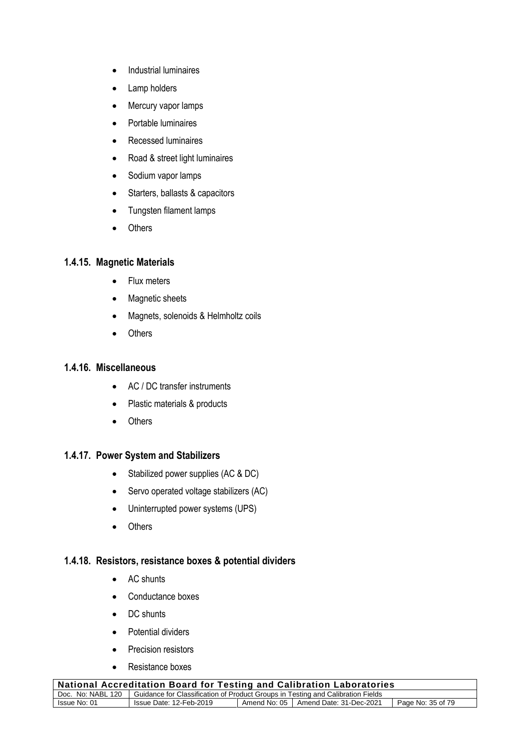- Industrial luminaires
- Lamp holders
- Mercury vapor lamps
- Portable luminaires
- Recessed luminaires
- Road & street light luminaires
- Sodium vapor lamps
- Starters, ballasts & capacitors
- Tungsten filament lamps
- Others

#### **1.4.15. Magnetic Materials**

- Flux meters
- Magnetic sheets
- Magnets, solenoids & Helmholtz coils
- Others

#### **1.4.16. Miscellaneous**

- AC / DC transfer instruments
- Plastic materials & products
- Others

# **1.4.17. Power System and Stabilizers**

- Stabilized power supplies (AC & DC)
- Servo operated voltage stabilizers (AC)
- Uninterrupted power systems (UPS)
- Others

#### **1.4.18. Resistors, resistance boxes & potential dividers**

- AC shunts
- Conductance boxes
- DC shunts
- Potential dividers
- Precision resistors
- Resistance boxes

| <b>National Accreditation Board for Testing and Calibration Laboratories</b> |                                                                                                     |  |                                        |                   |
|------------------------------------------------------------------------------|-----------------------------------------------------------------------------------------------------|--|----------------------------------------|-------------------|
|                                                                              | Doc. No: NABL 120   Guidance for Classification of Product Groups in Testing and Calibration Fields |  |                                        |                   |
| Issue No: 01                                                                 | Issue Date: 12-Feb-2019                                                                             |  | Amend No: 05   Amend Date: 31-Dec-2021 | Page No: 35 of 79 |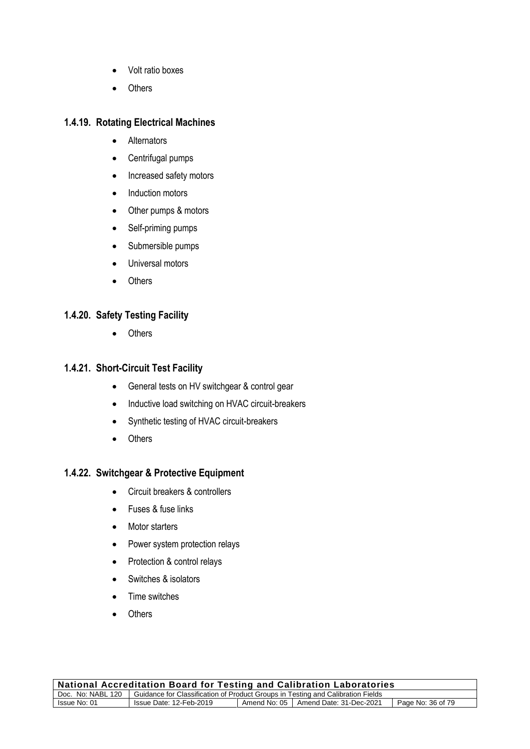- Volt ratio boxes
- Others

#### **1.4.19. Rotating Electrical Machines**

- Alternators
- Centrifugal pumps
- Increased safety motors
- Induction motors
- Other pumps & motors
- Self-priming pumps
- Submersible pumps
- Universal motors
- Others

#### **1.4.20. Safety Testing Facility**

• Others

# **1.4.21. Short-Circuit Test Facility**

- General tests on HV switchgear & control gear
- Inductive load switching on HVAC circuit-breakers
- Synthetic testing of HVAC circuit-breakers
- Others

# **1.4.22. Switchgear & Protective Equipment**

- Circuit breakers & controllers
- Fuses & fuse links
- Motor starters
- Power system protection relays
- Protection & control relays
- Switches & isolators
- Time switches
- Others

| <b>National Accreditation Board for Testing and Calibration Laboratories</b>                        |                         |  |                                        |                   |
|-----------------------------------------------------------------------------------------------------|-------------------------|--|----------------------------------------|-------------------|
| Doc. No: NABL 120   Guidance for Classification of Product Groups in Testing and Calibration Fields |                         |  |                                        |                   |
| Issue No: 01                                                                                        | Issue Date: 12-Feb-2019 |  | Amend No: 05   Amend Date: 31-Dec-2021 | Page No: 36 of 79 |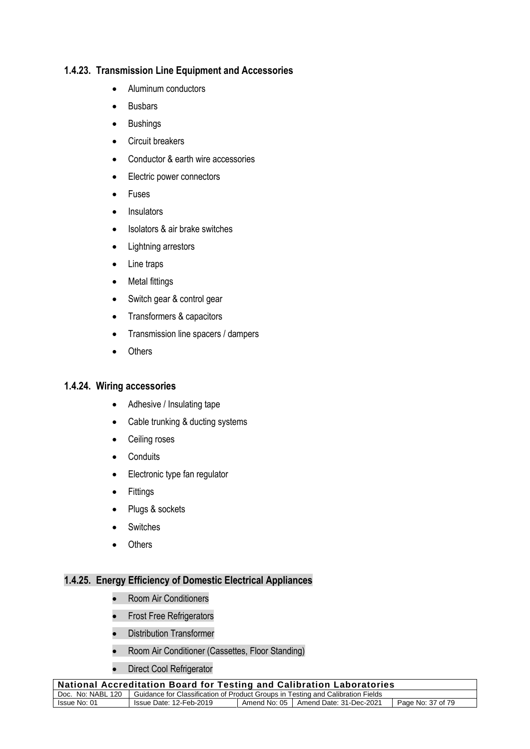#### **1.4.23. Transmission Line Equipment and Accessories**

- Aluminum conductors
- Busbars
- Bushings
- Circuit breakers
- Conductor & earth wire accessories
- Electric power connectors
- Fuses
- Insulators
- Isolators & air brake switches
- Lightning arrestors
- Line traps
- Metal fittings
- Switch gear & control gear
- Transformers & capacitors
- Transmission line spacers / dampers
- Others

#### **1.4.24. Wiring accessories**

- Adhesive / Insulating tape
- Cable trunking & ducting systems
- Ceiling roses
- Conduits
- Electronic type fan regulator
- Fittings
- Plugs & sockets
- Switches
- Others

#### **1.4.25. Energy Efficiency of Domestic Electrical Appliances**

- Room Air Conditioners
- Frost Free Refrigerators
- Distribution Transformer
- Room Air Conditioner (Cassettes, Floor Standing)
- Direct Cool Refrigerator

| <b>National Accreditation Board for Testing and Calibration Laboratories</b>                        |                         |  |                                        |                   |
|-----------------------------------------------------------------------------------------------------|-------------------------|--|----------------------------------------|-------------------|
| Doc. No: NABL 120   Guidance for Classification of Product Groups in Testing and Calibration Fields |                         |  |                                        |                   |
| Issue No: 01                                                                                        | Issue Date: 12-Feb-2019 |  | Amend No: 05   Amend Date: 31-Dec-2021 | Page No: 37 of 79 |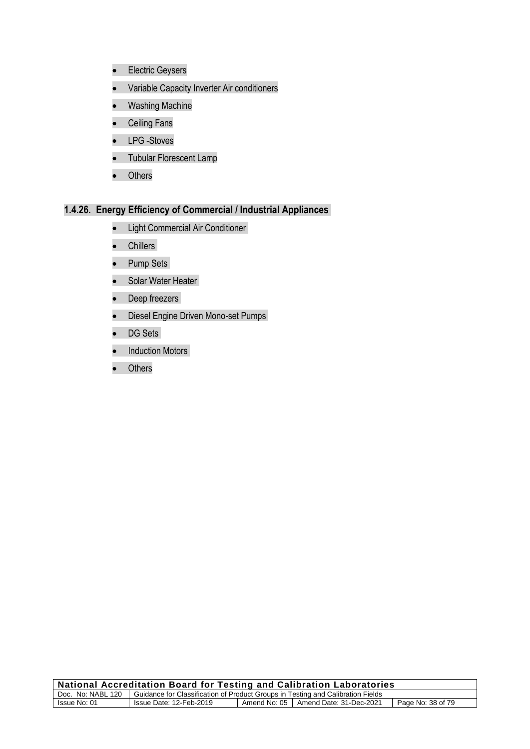- Electric Geysers
- Variable Capacity Inverter Air conditioners
- Washing Machine
- Ceiling Fans
- LPG -Stoves
- Tubular Florescent Lamp
- Others

#### **1.4.26. Energy Efficiency of Commercial / Industrial Appliances**

- Light Commercial Air Conditioner
- Chillers
- Pump Sets
- Solar Water Heater
- Deep freezers
- Diesel Engine Driven Mono-set Pumps
- DG Sets
- **Induction Motors**
- Others

| <b>National Accreditation Board for Testing and Calibration Laboratories</b> |                                                                                                     |              |                         |                   |
|------------------------------------------------------------------------------|-----------------------------------------------------------------------------------------------------|--------------|-------------------------|-------------------|
|                                                                              | Doc. No: NABL 120   Guidance for Classification of Product Groups in Testing and Calibration Fields |              |                         |                   |
| Issue No: 01                                                                 | Issue Date: 12-Feb-2019                                                                             | Amend No: 05 | Amend Date: 31-Dec-2021 | Page No: 38 of 79 |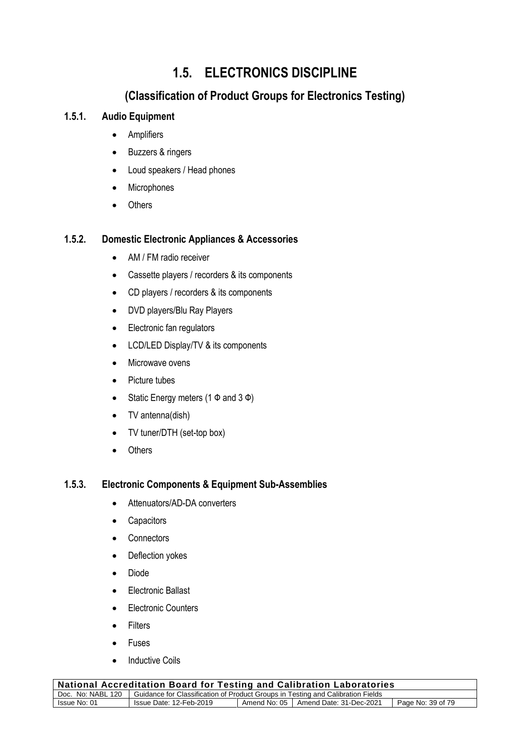# **1.5. ELECTRONICS DISCIPLINE**

# **(Classification of Product Groups for Electronics Testing)**

# **1.5.1. Audio Equipment**

- Amplifiers
- Buzzers & ringers
- Loud speakers / Head phones
- Microphones
- Others

### **1.5.2. Domestic Electronic Appliances & Accessories**

- AM / FM radio receiver
- Cassette players / recorders & its components
- CD players / recorders & its components
- DVD players/Blu Ray Players
- Electronic fan regulators
- LCD/LED Display/TV & its components
- Microwave ovens
- Picture tubes
- Static Energy meters  $(1 \Phi$  and  $3 \Phi)$
- TV antenna(dish)
- TV tuner/DTH (set-top box)
- Others

### **1.5.3. Electronic Components & Equipment Sub-Assemblies**

- Attenuators/AD-DA converters
- Capacitors
- Connectors
- Deflection yokes
- Diode
- Electronic Ballast
- Electronic Counters
- Filters
- Fuses
- **Inductive Coils**

| <b>National Accreditation Board for Testing and Calibration Laboratories</b>                        |                         |  |                                        |                   |
|-----------------------------------------------------------------------------------------------------|-------------------------|--|----------------------------------------|-------------------|
| Doc. No: NABL 120   Guidance for Classification of Product Groups in Testing and Calibration Fields |                         |  |                                        |                   |
| Issue No: 01                                                                                        | Issue Date: 12-Feb-2019 |  | Amend No: 05   Amend Date: 31-Dec-2021 | Page No: 39 of 79 |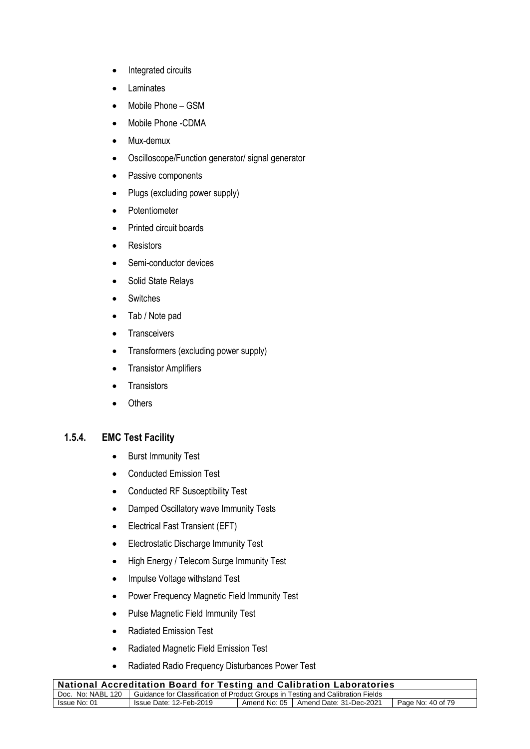- Integrated circuits
- Laminates
- Mobile Phone GSM
- Mobile Phone -CDMA
- Mux-demux
- Oscilloscope/Function generator/ signal generator
- Passive components
- Plugs (excluding power supply)
- Potentiometer
- Printed circuit boards
- Resistors
- Semi-conductor devices
- Solid State Relays
- Switches
- Tab / Note pad
- Transceivers
- Transformers (excluding power supply)
- Transistor Amplifiers
- Transistors
- Others

#### **1.5.4. EMC Test Facility**

- Burst Immunity Test
- Conducted Emission Test
- Conducted RF Susceptibility Test
- Damped Oscillatory wave Immunity Tests
- Electrical Fast Transient (EFT)
- Electrostatic Discharge Immunity Test
- High Energy / Telecom Surge Immunity Test
- Impulse Voltage withstand Test
- Power Frequency Magnetic Field Immunity Test
- Pulse Magnetic Field Immunity Test
- Radiated Emission Test
- Radiated Magnetic Field Emission Test
- Radiated Radio Frequency Disturbances Power Test

| National Accreditation Board for Testing and Calibration Laboratories                               |                         |  |                                        |                   |
|-----------------------------------------------------------------------------------------------------|-------------------------|--|----------------------------------------|-------------------|
| Doc. No: NABL 120   Guidance for Classification of Product Groups in Testing and Calibration Fields |                         |  |                                        |                   |
| Issue No: 01                                                                                        | Issue Date: 12-Feb-2019 |  | Amend No: 05   Amend Date: 31-Dec-2021 | Page No: 40 of 79 |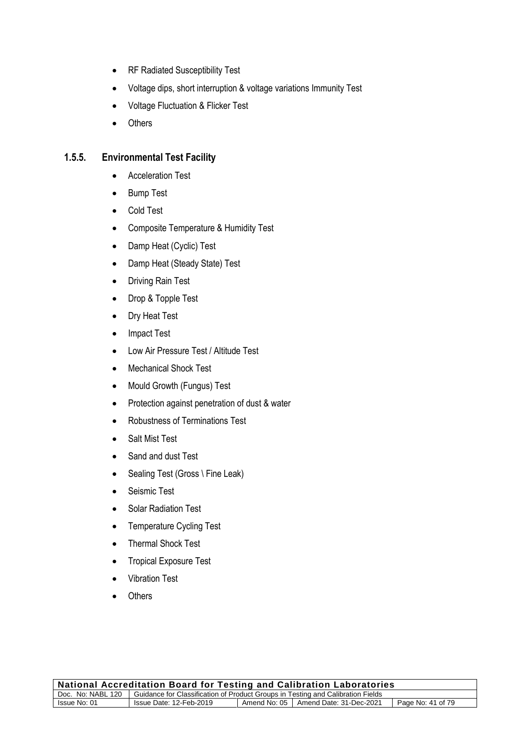- RF Radiated Susceptibility Test
- Voltage dips, short interruption & voltage variations Immunity Test
- Voltage Fluctuation & Flicker Test
- Others

### **1.5.5. Environmental Test Facility**

- Acceleration Test
- Bump Test
- Cold Test
- Composite Temperature & Humidity Test
- Damp Heat (Cyclic) Test
- Damp Heat (Steady State) Test
- Driving Rain Test
- Drop & Topple Test
- Dry Heat Test
- Impact Test
- Low Air Pressure Test / Altitude Test
- Mechanical Shock Test
- Mould Growth (Fungus) Test
- Protection against penetration of dust & water
- Robustness of Terminations Test
- Salt Mist Test
- Sand and dust Test
- Sealing Test (Gross \ Fine Leak)
- Seismic Test
- Solar Radiation Test
- Temperature Cycling Test
- Thermal Shock Test
- Tropical Exposure Test
- Vibration Test
- **Others**

| National Accreditation Board for Testing and Calibration Laboratories                               |                         |  |                                        |                   |
|-----------------------------------------------------------------------------------------------------|-------------------------|--|----------------------------------------|-------------------|
| Doc. No: NABL 120   Guidance for Classification of Product Groups in Testing and Calibration Fields |                         |  |                                        |                   |
| Issue No: 01                                                                                        | Issue Date: 12-Feb-2019 |  | Amend No: 05   Amend Date: 31-Dec-2021 | Page No: 41 of 79 |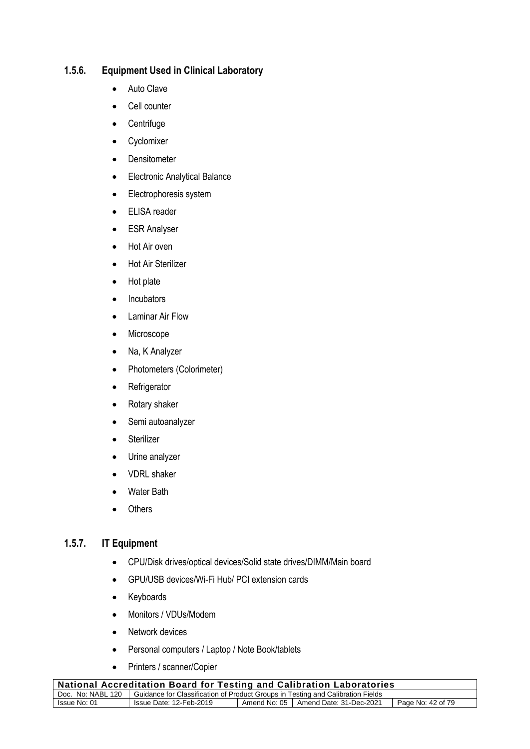## **1.5.6. Equipment Used in Clinical Laboratory**

- Auto Clave
- Cell counter
- Centrifuge
- Cyclomixer
- Densitometer
- Electronic Analytical Balance
- Electrophoresis system
- ELISA reader
- ESR Analyser
- Hot Air oven
- Hot Air Sterilizer
- Hot plate
- Incubators
- Laminar Air Flow
- Microscope
- Na, K Analyzer
- Photometers (Colorimeter)
- Refrigerator
- Rotary shaker
- Semi autoanalyzer
- Sterilizer
- Urine analyzer
- VDRL shaker
- Water Bath
- Others

### **1.5.7. IT Equipment**

- CPU/Disk drives/optical devices/Solid state drives/DIMM/Main board
- GPU/USB devices/Wi-Fi Hub/ PCI extension cards
- Keyboards
- Monitors / VDUs/Modem
- Network devices
- Personal computers / Laptop / Note Book/tablets
- Printers / scanner/Copier

| <b>National Accreditation Board for Testing and Calibration Laboratories</b>                        |                         |  |                                        |                   |
|-----------------------------------------------------------------------------------------------------|-------------------------|--|----------------------------------------|-------------------|
| Doc. No: NABL 120   Guidance for Classification of Product Groups in Testing and Calibration Fields |                         |  |                                        |                   |
| Issue No: 01                                                                                        | Issue Date: 12-Feb-2019 |  | Amend No: 05   Amend Date: 31-Dec-2021 | Page No: 42 of 79 |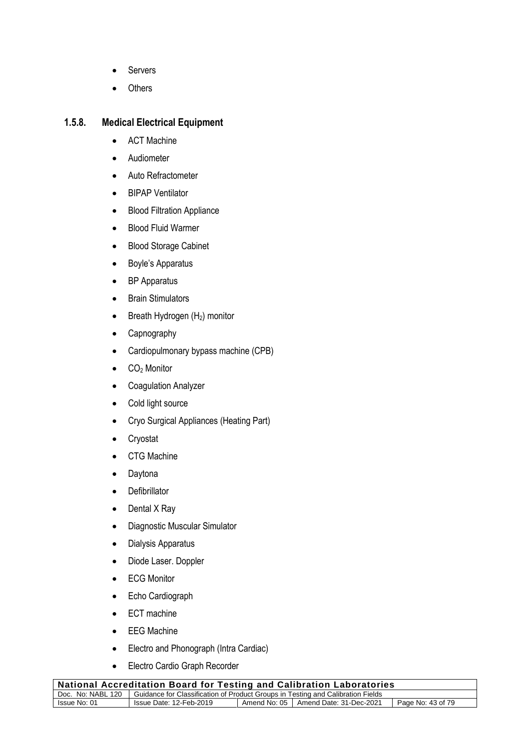- **Servers**
- **Others**

# **1.5.8. Medical Electrical Equipment**

- ACT Machine
- Audiometer
- Auto Refractometer
- BIPAP Ventilator
- Blood Filtration Appliance
- Blood Fluid Warmer
- Blood Storage Cabinet
- Boyle's Apparatus
- BP Apparatus
- Brain Stimulators
- Breath Hydrogen  $(H_2)$  monitor
- Capnography
- Cardiopulmonary bypass machine (CPB)
- CO<sup>2</sup> Monitor
- Coagulation Analyzer
- Cold light source
- Cryo Surgical Appliances (Heating Part)
- Cryostat
- CTG Machine
- Daytona
- Defibrillator
- Dental X Ray
- Diagnostic Muscular Simulator
- Dialysis Apparatus
- Diode Laser. Doppler
- ECG Monitor
- Echo Cardiograph
- ECT machine
- EEG Machine
- Electro and Phonograph (Intra Cardiac)
- Electro Cardio Graph Recorder

| $_{\rm i}$ National Accreditation Board for Testing and Calibration Laboratories                    |                         |  |                                        |                   |
|-----------------------------------------------------------------------------------------------------|-------------------------|--|----------------------------------------|-------------------|
| Doc. No: NABL 120   Guidance for Classification of Product Groups in Testing and Calibration Fields |                         |  |                                        |                   |
| Issue No: 01                                                                                        | Issue Date: 12-Feb-2019 |  | Amend No: 05   Amend Date: 31-Dec-2021 | Page No: 43 of 79 |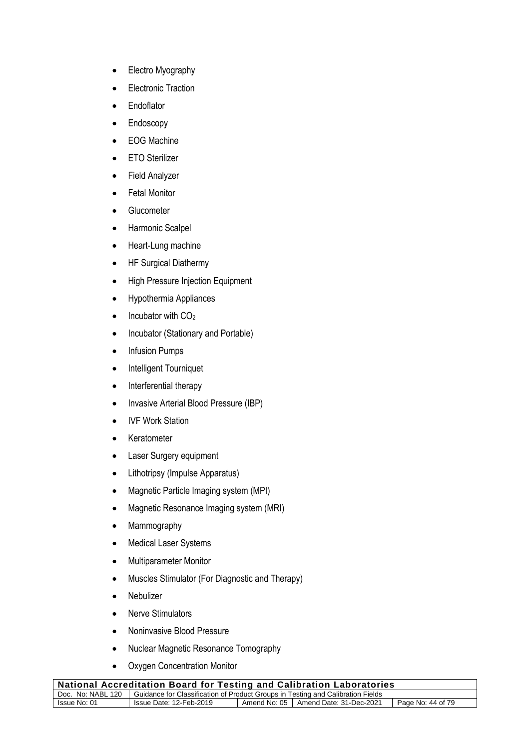- Electro Myography
- Electronic Traction
- Endoflator
- Endoscopy
- EOG Machine
- ETO Sterilizer
- Field Analyzer
- Fetal Monitor
- Glucometer
- Harmonic Scalpel
- Heart-Lung machine
- HF Surgical Diathermy
- High Pressure Injection Equipment
- Hypothermia Appliances
- $\bullet$  Incubator with  $CO<sub>2</sub>$
- Incubator (Stationary and Portable)
- Infusion Pumps
- Intelligent Tourniquet
- Interferential therapy
- Invasive Arterial Blood Pressure (IBP)
- IVF Work Station
- Keratometer
- Laser Surgery equipment
- Lithotripsy (Impulse Apparatus)
- Magnetic Particle Imaging system (MPI)
- Magnetic Resonance Imaging system (MRI)
- Mammography
- Medical Laser Systems
- Multiparameter Monitor
- Muscles Stimulator (For Diagnostic and Therapy)
- Nebulizer
- Nerve Stimulators
- Noninvasive Blood Pressure
- Nuclear Magnetic Resonance Tomography
- Oxygen Concentration Monitor

| <b>National Accreditation Board for Testing and Calibration Laboratories</b> |                                                                                                     |  |                                        |                   |
|------------------------------------------------------------------------------|-----------------------------------------------------------------------------------------------------|--|----------------------------------------|-------------------|
|                                                                              | Doc. No: NABL 120   Guidance for Classification of Product Groups in Testing and Calibration Fields |  |                                        |                   |
| Issue No: 01                                                                 | Issue Date: 12-Feb-2019                                                                             |  | Amend No: 05   Amend Date: 31-Dec-2021 | Page No: 44 of 79 |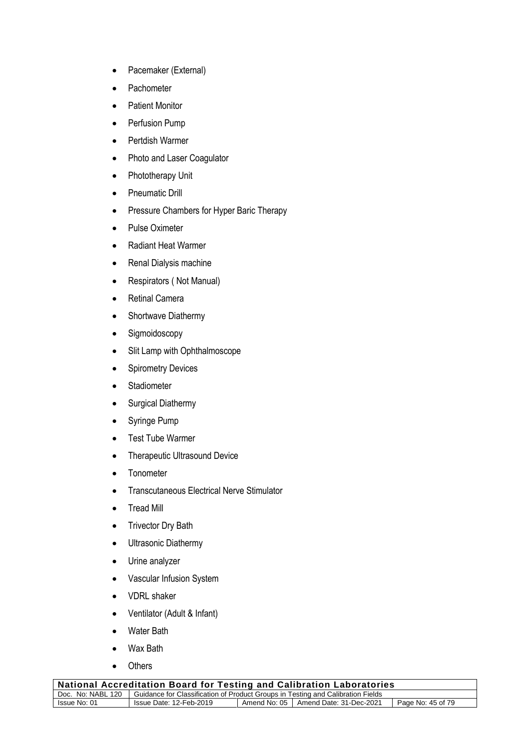- Pacemaker (External)
- **Pachometer**
- Patient Monitor
- Perfusion Pump
- Pertdish Warmer
- Photo and Laser Coagulator
- Phototherapy Unit
- Pneumatic Drill
- Pressure Chambers for Hyper Baric Therapy
- Pulse Oximeter
- Radiant Heat Warmer
- Renal Dialysis machine
- Respirators ( Not Manual)
- Retinal Camera
- Shortwave Diathermy
- Sigmoidoscopy
- Slit Lamp with Ophthalmoscope
- Spirometry Devices
- Stadiometer
- Surgical Diathermy
- Syringe Pump
- Test Tube Warmer
- Therapeutic Ultrasound Device
- Tonometer
- Transcutaneous Electrical Nerve Stimulator
- Tread Mill
- Trivector Dry Bath
- Ultrasonic Diathermy
- Urine analyzer
- Vascular Infusion System
- VDRL shaker
- Ventilator (Adult & Infant)
- Water Bath
- Wax Bath
- Others

| $_{\rm i}$ National Accreditation Board for Testing and Calibration Laboratories                       |  |  |  |  |
|--------------------------------------------------------------------------------------------------------|--|--|--|--|
| Doc. No: NABL 120   Guidance for Classification of Product Groups in Testing and Calibration Fields    |  |  |  |  |
| Amend No: 05   Amend Date: 31-Dec-2021<br>Issue No: 01<br>Issue Date: 12-Feb-2019<br>Page No: 45 of 79 |  |  |  |  |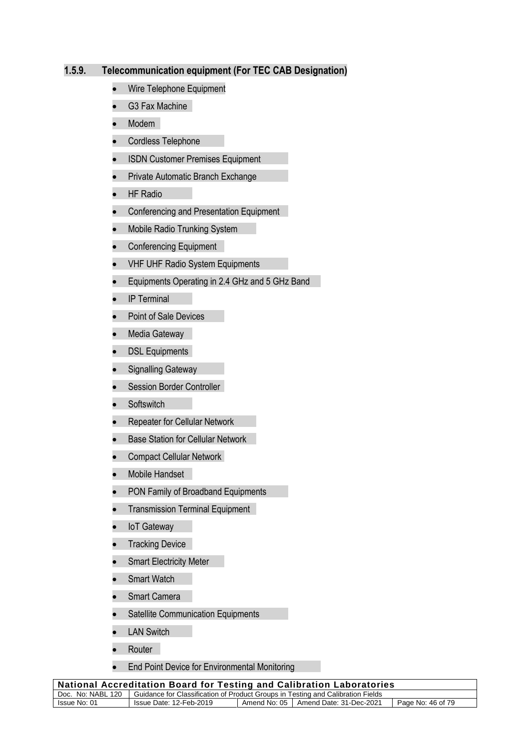#### **1.5.9. Telecommunication equipment (For TEC CAB Designation)**

- Wire Telephone Equipment
- G3 Fax Machine
- Modem
- Cordless Telephone
- ISDN Customer Premises Equipment
- Private Automatic Branch Exchange
- HF Radio
- Conferencing and Presentation Equipment
- Mobile Radio Trunking System
- Conferencing Equipment
- VHF UHF Radio System Equipments
- Equipments Operating in 2.4 GHz and 5 GHz Band
- IP Terminal
- Point of Sale Devices
- Media Gateway
- DSL Equipments
- Signalling Gateway
- Session Border Controller
- **Softswitch**
- Repeater for Cellular Network
- Base Station for Cellular Network
- Compact Cellular Network
- Mobile Handset
- PON Family of Broadband Equipments
- **•** Transmission Terminal Equipment
- IoT Gateway
- Tracking Device
- **Smart Electricity Meter**
- Smart Watch
- Smart Camera
- Satellite Communication Equipments
- **LAN Switch**
- Router |
- End Point Device for Environmental Monitoring

| <b>National Accreditation Board for Testing and Calibration Laboratories</b> |                                                                                                     |  |                                        |                   |
|------------------------------------------------------------------------------|-----------------------------------------------------------------------------------------------------|--|----------------------------------------|-------------------|
|                                                                              | Doc. No: NABL 120   Guidance for Classification of Product Groups in Testing and Calibration Fields |  |                                        |                   |
| Issue No: 01                                                                 | Issue Date: 12-Feb-2019                                                                             |  | Amend No: 05   Amend Date: 31-Dec-2021 | Page No: 46 of 79 |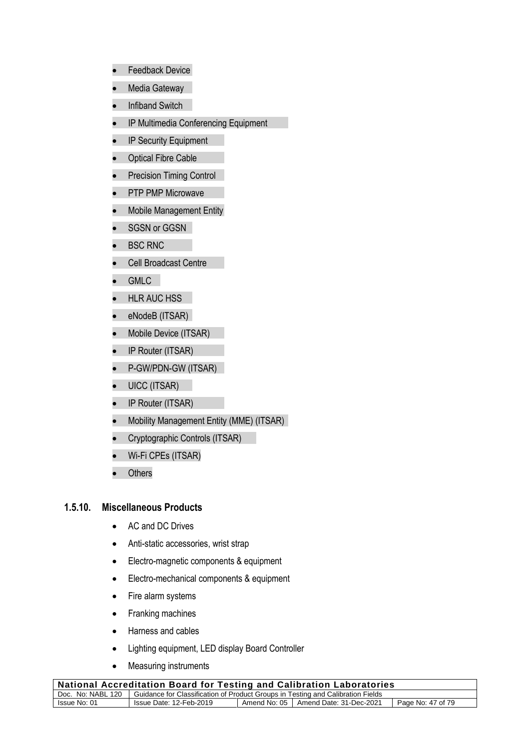- Feedback Device
- Media Gateway
- Infiband Switch
- IP Multimedia Conferencing Equipment
- IP Security Equipment
- Optical Fibre Cable
- Precision Timing Control
- PTP PMP Microwave
- Mobile Management Entity
- SGSN or GGSN
- BSC RNC
- Cell Broadcast Centre
- GMLC
- HLR AUC HSS
- eNodeB (ITSAR)
- Mobile Device (ITSAR)
- IP Router (ITSAR)
- P-GW/PDN-GW (ITSAR)
- UICC (ITSAR)
- IP Router (ITSAR)
- Mobility Management Entity (MME) (ITSAR)
- Cryptographic Controls (ITSAR)
- Wi-Fi CPEs (ITSAR)
- Others

#### **1.5.10. Miscellaneous Products**

- AC and DC Drives
- Anti-static accessories, wrist strap
- Electro-magnetic components & equipment
- Electro-mechanical components & equipment
- Fire alarm systems
- Franking machines
- Harness and cables
- Lighting equipment, LED display Board Controller
- Measuring instruments

| <b>National Accreditation Board for Testing and Calibration Laboratories</b>                        |                         |  |                                        |                   |
|-----------------------------------------------------------------------------------------------------|-------------------------|--|----------------------------------------|-------------------|
| Doc. No: NABL 120   Guidance for Classification of Product Groups in Testing and Calibration Fields |                         |  |                                        |                   |
| Issue No: 01                                                                                        | Issue Date: 12-Feb-2019 |  | Amend No: 05   Amend Date: 31-Dec-2021 | Page No: 47 of 79 |
|                                                                                                     |                         |  |                                        |                   |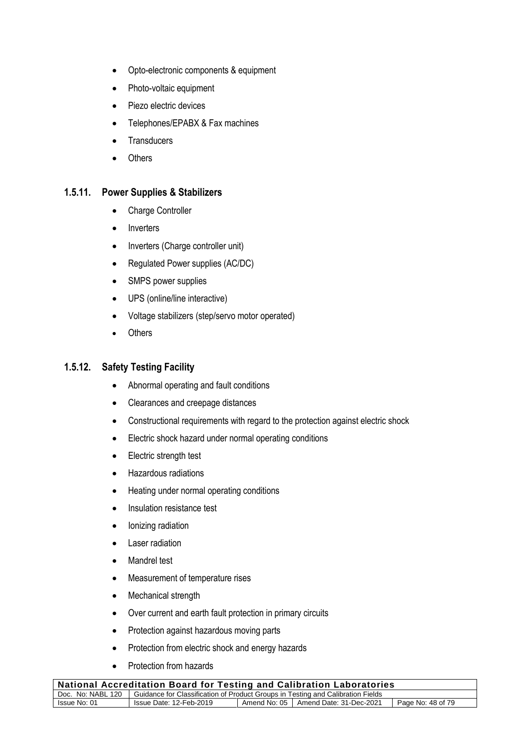- Opto-electronic components & equipment
- Photo-voltaic equipment
- Piezo electric devices
- Telephones/EPABX & Fax machines
- **Transducers**
- Others

#### **1.5.11. Power Supplies & Stabilizers**

- Charge Controller
- Inverters
- Inverters (Charge controller unit)
- Regulated Power supplies (AC/DC)
- SMPS power supplies
- UPS (online/line interactive)
- Voltage stabilizers (step/servo motor operated)
- Others

#### **1.5.12. Safety Testing Facility**

- Abnormal operating and fault conditions
- Clearances and creepage distances
- Constructional requirements with regard to the protection against electric shock
- Electric shock hazard under normal operating conditions
- Electric strength test
- Hazardous radiations
- Heating under normal operating conditions
- Insulation resistance test
- Ionizing radiation
- Laser radiation
- Mandrel test
- Measurement of temperature rises
- Mechanical strength
- Over current and earth fault protection in primary circuits
- Protection against hazardous moving parts
- Protection from electric shock and energy hazards
- Protection from hazards

| National Accreditation Board for Testing and Calibration Laboratories                               |                         |  |                                        |                   |
|-----------------------------------------------------------------------------------------------------|-------------------------|--|----------------------------------------|-------------------|
| Doc. No: NABL 120   Guidance for Classification of Product Groups in Testing and Calibration Fields |                         |  |                                        |                   |
| Issue No: 01                                                                                        | Issue Date: 12-Feb-2019 |  | Amend No: 05   Amend Date: 31-Dec-2021 | Page No: 48 of 79 |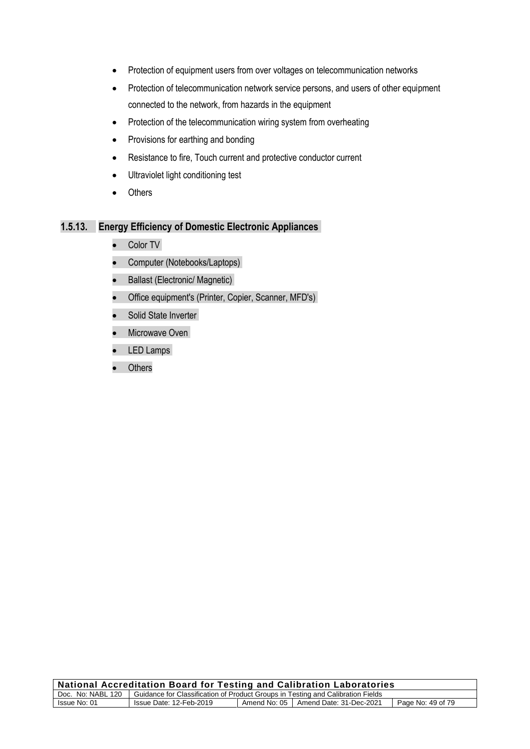- Protection of equipment users from over voltages on telecommunication networks
- Protection of telecommunication network service persons, and users of other equipment connected to the network, from hazards in the equipment
- Protection of the telecommunication wiring system from overheating
- Provisions for earthing and bonding
- Resistance to fire, Touch current and protective conductor current
- Ultraviolet light conditioning test
- Others

#### **1.5.13. Energy Efficiency of Domestic Electronic Appliances**

- Color TV
- Computer (Notebooks/Laptops)
- Ballast (Electronic/ Magnetic)
- Office equipment's (Printer, Copier, Scanner, MFD's)
- Solid State Inverter
- Microwave Oven
- LED Lamps
- **Others**

| National Accreditation Board for Testing and Calibration Laboratories                               |                         |  |                                        |                   |
|-----------------------------------------------------------------------------------------------------|-------------------------|--|----------------------------------------|-------------------|
| Doc. No: NABL 120   Guidance for Classification of Product Groups in Testing and Calibration Fields |                         |  |                                        |                   |
| Issue No: 01                                                                                        | Issue Date: 12-Feb-2019 |  | Amend No: 05   Amend Date: 31-Dec-2021 | Page No: 49 of 79 |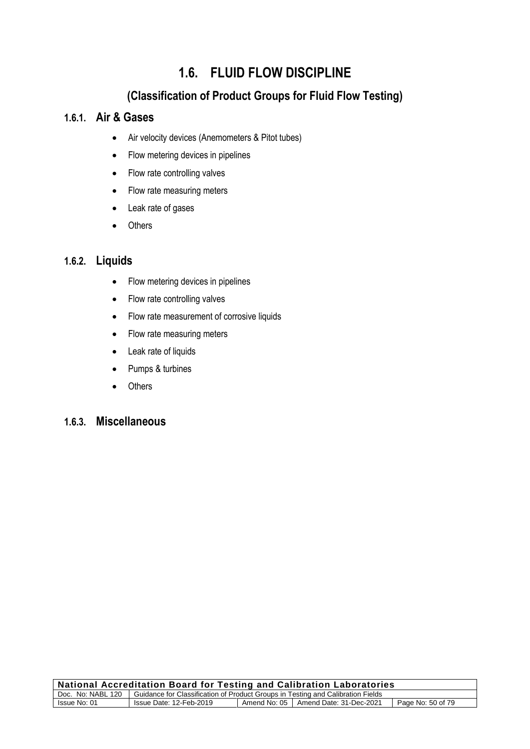# **1.6. FLUID FLOW DISCIPLINE**

# **(Classification of Product Groups for Fluid Flow Testing)**

# **1.6.1. Air & Gases**

- Air velocity devices (Anemometers & Pitot tubes)
- Flow metering devices in pipelines
- Flow rate controlling valves
- Flow rate measuring meters
- Leak rate of gases
- Others

# **1.6.2. Liquids**

- Flow metering devices in pipelines
- Flow rate controlling valves
- Flow rate measurement of corrosive liquids
- Flow rate measuring meters
- Leak rate of liquids
- Pumps & turbines
- Others

# **1.6.3. Miscellaneous**

| <b>National Accreditation Board for Testing and Calibration Laboratories</b>                        |                         |  |                                        |                   |
|-----------------------------------------------------------------------------------------------------|-------------------------|--|----------------------------------------|-------------------|
| Doc. No: NABL 120   Guidance for Classification of Product Groups in Testing and Calibration Fields |                         |  |                                        |                   |
| Issue No: 01                                                                                        | Issue Date: 12-Feb-2019 |  | Amend No: 05   Amend Date: 31-Dec-2021 | Page No: 50 of 79 |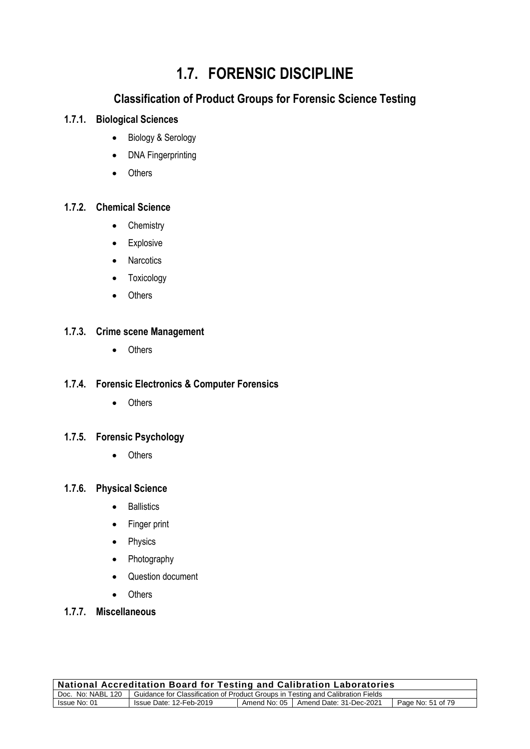# **1.7. FORENSIC DISCIPLINE**

# **Classification of Product Groups for Forensic Science Testing**

# **1.7.1. Biological Sciences**

- Biology & Serology
- DNA Fingerprinting
- Others

# **1.7.2. Chemical Science**

- Chemistry
- Explosive
- Narcotics
- Toxicology
- Others

#### **1.7.3. Crime scene Management**

• Others

### **1.7.4. Forensic Electronics & Computer Forensics**

• Others

#### **1.7.5. Forensic Psychology**

• Others

#### **1.7.6. Physical Science**

- Ballistics
- Finger print
- Physics
- Photography
- Question document
- Others
- **1.7.7. Miscellaneous**

| National Accreditation Board for Testing and Calibration Laboratories                               |                         |  |                                        |                   |
|-----------------------------------------------------------------------------------------------------|-------------------------|--|----------------------------------------|-------------------|
| Doc. No: NABL 120   Guidance for Classification of Product Groups in Testing and Calibration Fields |                         |  |                                        |                   |
| Issue No: 01                                                                                        | Issue Date: 12-Feb-2019 |  | Amend No: 05   Amend Date: 31-Dec-2021 | Page No: 51 of 79 |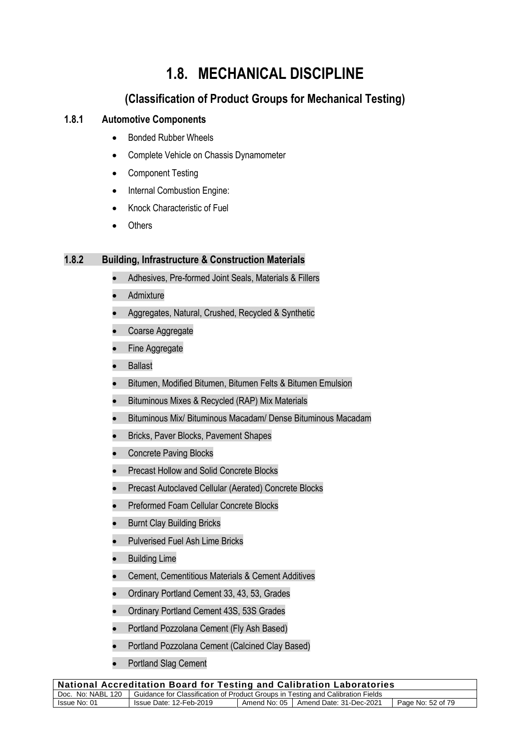# **1.8. MECHANICAL DISCIPLINE**

# **(Classification of Product Groups for Mechanical Testing)**

# **1.8.1 Automotive Components**

- Bonded Rubber Wheels
- Complete Vehicle on Chassis Dynamometer
- Component Testing
- Internal Combustion Engine:
- Knock Characteristic of Fuel
- Others

#### **1.8.2 Building, Infrastructure & Construction Materials**

- Adhesives, Pre-formed Joint Seals, Materials & Fillers
- **Admixture**
- Aggregates, Natural, Crushed, Recycled & Synthetic
- Coarse Aggregate
- Fine Aggregate
- Ballast
- Bitumen, Modified Bitumen, Bitumen Felts & Bitumen Emulsion
- Bituminous Mixes & Recycled (RAP) Mix Materials
- Bituminous Mix/ Bituminous Macadam/ Dense Bituminous Macadam
- Bricks, Paver Blocks, Pavement Shapes
- Concrete Paving Blocks
- Precast Hollow and Solid Concrete Blocks
- Precast Autoclaved Cellular (Aerated) Concrete Blocks
- Preformed Foam Cellular Concrete Blocks
- **Burnt Clay Building Bricks**
- Pulverised Fuel Ash Lime Bricks
- Building Lime
- Cement, Cementitious Materials & Cement Additives
- Ordinary Portland Cement 33, 43, 53, Grades
- Ordinary Portland Cement 43S, 53S Grades
- Portland Pozzolana Cement (Fly Ash Based)
- Portland Pozzolana Cement (Calcined Clay Based)
- Portland Slag Cement

| <b>National Accreditation Board for Testing and Calibration Laboratories</b>                         |                         |  |                                        |                   |
|------------------------------------------------------------------------------------------------------|-------------------------|--|----------------------------------------|-------------------|
| Guidance for Classification of Product Groups in Testing and Calibration Fields<br>Doc. No: NABL 120 |                         |  |                                        |                   |
| Issue No: 01                                                                                         | Issue Date: 12-Feb-2019 |  | Amend No: 05   Amend Date: 31-Dec-2021 | Page No: 52 of 79 |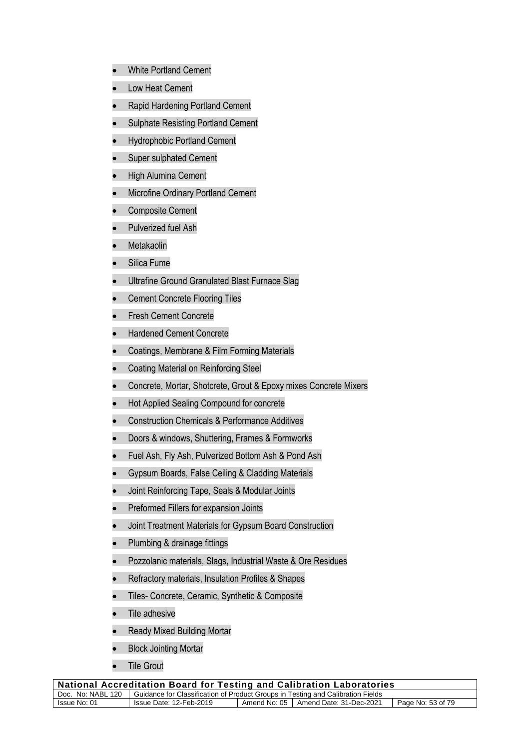- White Portland Cement
- Low Heat Cement
- Rapid Hardening Portland Cement
- Sulphate Resisting Portland Cement
- Hydrophobic Portland Cement
- Super sulphated Cement
- High Alumina Cement
- Microfine Ordinary Portland Cement
- Composite Cement
- Pulverized fuel Ash
- Metakaolin
- Silica Fume
- Ultrafine Ground Granulated Blast Furnace Slag
- Cement Concrete Flooring Tiles
- Fresh Cement Concrete
- Hardened Cement Concrete
- Coatings, Membrane & Film Forming Materials
- Coating Material on Reinforcing Steel
- Concrete, Mortar, Shotcrete, Grout & Epoxy mixes Concrete Mixers
- Hot Applied Sealing Compound for concrete
- Construction Chemicals & Performance Additives
- Doors & windows, Shuttering, Frames & Formworks
- Fuel Ash, Fly Ash, Pulverized Bottom Ash & Pond Ash
- Gypsum Boards, False Ceiling & Cladding Materials
- Joint Reinforcing Tape, Seals & Modular Joints
- Preformed Fillers for expansion Joints
- Joint Treatment Materials for Gypsum Board Construction
- Plumbing & drainage fittings
- Pozzolanic materials, Slags, Industrial Waste & Ore Residues
- Refractory materials, Insulation Profiles & Shapes
- Tiles- Concrete, Ceramic, Synthetic & Composite
- Tile adhesive
- Ready Mixed Building Mortar
- **Block Jointing Mortar**
- **Tile Grout**

| <b>National Accreditation Board for Testing and Calibration Laboratories</b>                        |                         |  |                                        |                   |
|-----------------------------------------------------------------------------------------------------|-------------------------|--|----------------------------------------|-------------------|
| Doc. No: NABL 120   Guidance for Classification of Product Groups in Testing and Calibration Fields |                         |  |                                        |                   |
| Issue No: 01                                                                                        | Issue Date: 12-Feb-2019 |  | Amend No: 05   Amend Date: 31-Dec-2021 | Page No: 53 of 79 |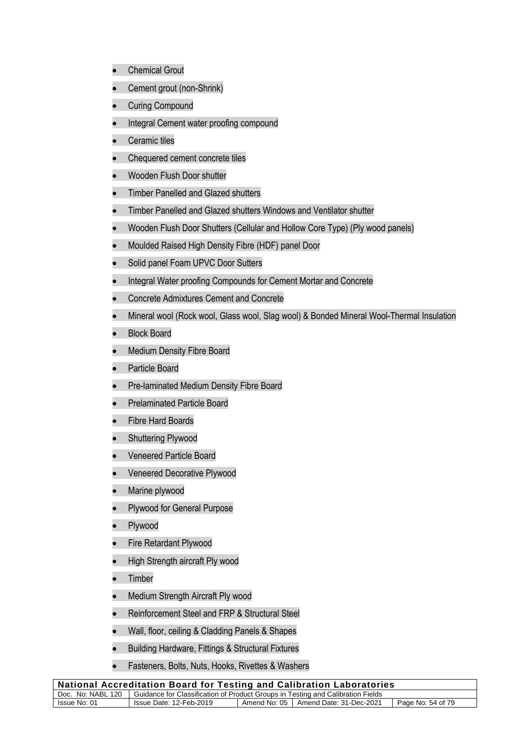- Chemical Grout
- Cement grout (non-Shrink)
- Curing Compound
- Integral Cement water proofing compound
- Ceramic tiles
- Chequered cement concrete tiles
- Wooden Flush Door shutter
- Timber Panelled and Glazed shutters
- Timber Panelled and Glazed shutters Windows and Ventilator shutter
- Wooden Flush Door Shutters (Cellular and Hollow Core Type) (Ply wood panels)
- Moulded Raised High Density Fibre (HDF) panel Door
- Solid panel Foam UPVC Door Sutters
- Integral Water proofing Compounds for Cement Mortar and Concrete
- Concrete Admixtures Cement and Concrete
- Mineral wool (Rock wool, Glass wool, Slag wool) & Bonded Mineral Wool-Thermal Insulation
- **Block Board**
- Medium Density Fibre Board
- Particle Board
- Pre-laminated Medium Density Fibre Board
- Prelaminated Particle Board
- Fibre Hard Boards
- Shuttering Plywood
- Veneered Particle Board
- Veneered Decorative Plywood
- Marine plywood
- Plywood for General Purpose
- Plywood
- Fire Retardant Plywood
- High Strength aircraft Ply wood
- Timber
- Medium Strength Aircraft Ply wood
- Reinforcement Steel and FRP & Structural Steel
- Wall, floor, ceiling & Cladding Panels & Shapes
- Building Hardware, Fittings & Structural Fixtures
- Fasteners, Bolts, Nuts, Hooks, Rivettes & Washers

| <b>National Accreditation Board for Testing and Calibration Laboratories</b>                        |                         |  |                                        |                   |
|-----------------------------------------------------------------------------------------------------|-------------------------|--|----------------------------------------|-------------------|
| Doc. No: NABL 120   Guidance for Classification of Product Groups in Testing and Calibration Fields |                         |  |                                        |                   |
| Issue No: 01                                                                                        | Issue Date: 12-Feb-2019 |  | Amend No: 05   Amend Date: 31-Dec-2021 | Page No: 54 of 79 |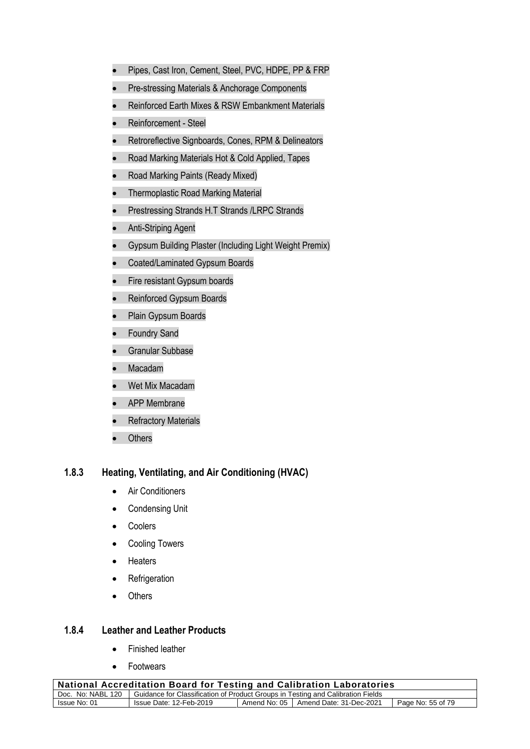- Pipes, Cast Iron, Cement, Steel, PVC, HDPE, PP & FRP
- Pre-stressing Materials & Anchorage Components
- Reinforced Earth Mixes & RSW Embankment Materials
- Reinforcement Steel
- Retroreflective Signboards, Cones, RPM & Delineators
- Road Marking Materials Hot & Cold Applied, Tapes
- Road Marking Paints (Ready Mixed)
- Thermoplastic Road Marking Material
- Prestressing Strands H.T Strands /LRPC Strands
- Anti-Striping Agent
- Gypsum Building Plaster (Including Light Weight Premix)
- Coated/Laminated Gypsum Boards
- Fire resistant Gypsum boards
- Reinforced Gypsum Boards
- Plain Gypsum Boards
- Foundry Sand
- Granular Subbase
- Macadam
- Wet Mix Macadam
- APP Membrane
- **Refractory Materials**
- Others

#### **1.8.3 Heating, Ventilating, and Air Conditioning (HVAC)**

- Air Conditioners
- Condensing Unit
- Coolers
- Cooling Towers
- Heaters
- Refrigeration
- Others

#### **1.8.4 Leather and Leather Products**

- Finished leather
- Footwears

| <b>National Accreditation Board for Testing and Calibration Laboratories</b>                        |                         |  |                                        |                   |
|-----------------------------------------------------------------------------------------------------|-------------------------|--|----------------------------------------|-------------------|
| Doc. No: NABL 120   Guidance for Classification of Product Groups in Testing and Calibration Fields |                         |  |                                        |                   |
| Issue No: 01                                                                                        | Issue Date: 12-Feb-2019 |  | Amend No: 05   Amend Date: 31-Dec-2021 | Page No: 55 of 79 |
|                                                                                                     |                         |  |                                        |                   |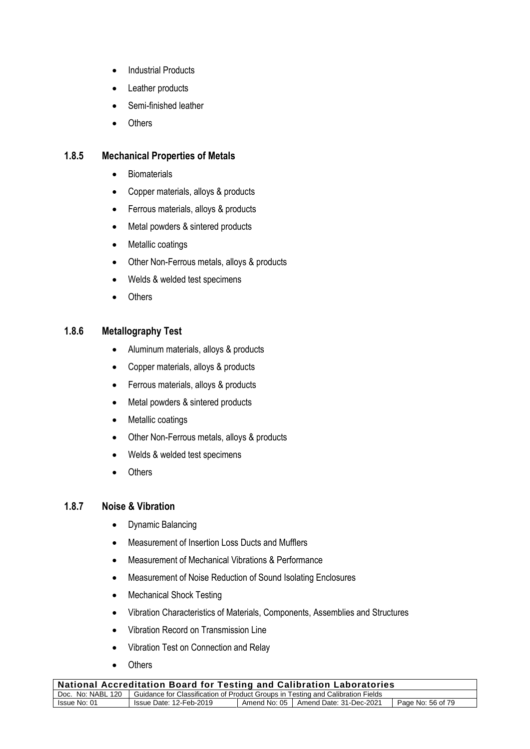- Industrial Products
- Leather products
- Semi-finished leather
- Others

#### **1.8.5 Mechanical Properties of Metals**

- **Biomaterials**
- Copper materials, alloys & products
- Ferrous materials, alloys & products
- Metal powders & sintered products
- Metallic coatings
- Other Non-Ferrous metals, alloys & products
- Welds & welded test specimens
- Others

#### **1.8.6 Metallography Test**

- Aluminum materials, alloys & products
- Copper materials, alloys & products
- Ferrous materials, alloys & products
- Metal powders & sintered products
- Metallic coatings
- Other Non-Ferrous metals, alloys & products
- Welds & welded test specimens
- Others

#### **1.8.7 Noise & Vibration**

- Dynamic Balancing
- Measurement of Insertion Loss Ducts and Mufflers
- Measurement of Mechanical Vibrations & Performance
- Measurement of Noise Reduction of Sound Isolating Enclosures
- Mechanical Shock Testing
- Vibration Characteristics of Materials, Components, Assemblies and Structures
- Vibration Record on Transmission Line
- Vibration Test on Connection and Relay
- Others

| <b>National Accreditation Board for Testing and Calibration Laboratories</b>                        |                         |  |                                        |                   |
|-----------------------------------------------------------------------------------------------------|-------------------------|--|----------------------------------------|-------------------|
| Doc. No: NABL 120   Guidance for Classification of Product Groups in Testing and Calibration Fields |                         |  |                                        |                   |
| Issue No: 01                                                                                        | Issue Date: 12-Feb-2019 |  | Amend No: 05   Amend Date: 31-Dec-2021 | Page No: 56 of 79 |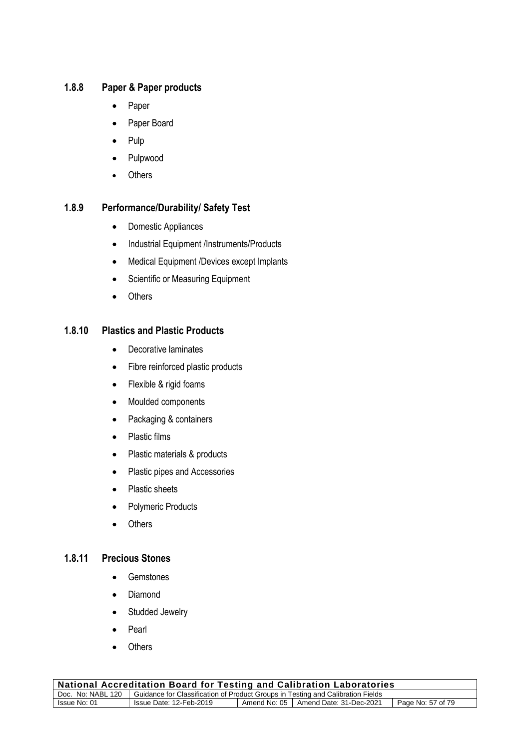# **1.8.8 Paper & Paper products**

- Paper
- Paper Board
- Pulp
- Pulpwood
- Others

#### **1.8.9 Performance/Durability/ Safety Test**

- Domestic Appliances
- Industrial Equipment /Instruments/Products
- Medical Equipment /Devices except Implants
- Scientific or Measuring Equipment
- Others

### **1.8.10 Plastics and Plastic Products**

- Decorative laminates
- Fibre reinforced plastic products
- Flexible & rigid foams
- Moulded components
- Packaging & containers
- Plastic films
- Plastic materials & products
- Plastic pipes and Accessories
- Plastic sheets
- Polymeric Products
- Others

# **1.8.11 Precious Stones**

- Gemstones
- Diamond
- Studded Jewelry
- Pearl
- Others

| National Accreditation Board for Testing and Calibration Laboratories                               |                         |  |                                        |                   |
|-----------------------------------------------------------------------------------------------------|-------------------------|--|----------------------------------------|-------------------|
| Doc. No: NABL 120   Guidance for Classification of Product Groups in Testing and Calibration Fields |                         |  |                                        |                   |
| Issue No: 01                                                                                        | Issue Date: 12-Feb-2019 |  | Amend No: 05   Amend Date: 31-Dec-2021 | Page No: 57 of 79 |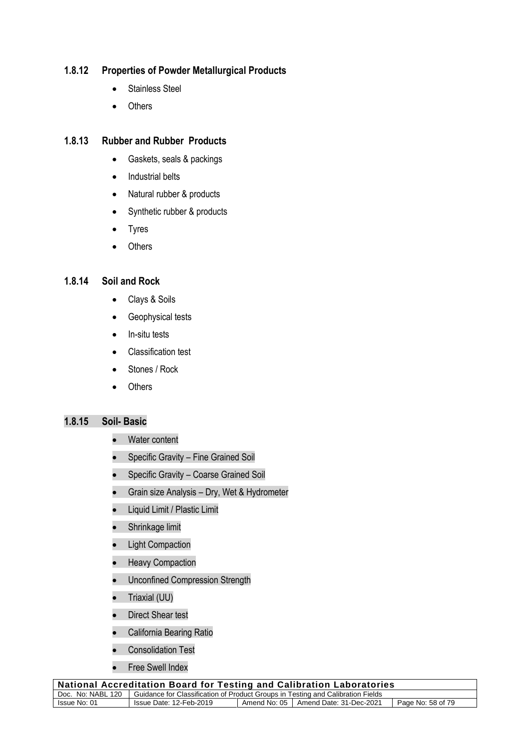## **1.8.12 Properties of Powder Metallurgical Products**

- Stainless Steel
- Others

#### **1.8.13 Rubber and Rubber Products**

- Gaskets, seals & packings
- Industrial belts
- Natural rubber & products
- Synthetic rubber & products
- Tyres
- Others

### **1.8.14 Soil and Rock**

- Clays & Soils
- Geophysical tests
- In-situ tests
- Classification test
- Stones / Rock
- Others

#### **1.8.15 Soil- Basic**

- Water content
- Specific Gravity Fine Grained Soil
- Specific Gravity Coarse Grained Soil
- Grain size Analysis Dry, Wet & Hydrometer
- Liquid Limit / Plastic Limit
- Shrinkage limit
- Light Compaction
- Heavy Compaction
- Unconfined Compression Strength
- Triaxial (UU)
- Direct Shear test
- California Bearing Ratio
- Consolidation Test
- Free Swell Index

| <b>National Accreditation Board for Testing and Calibration Laboratories</b>                        |                         |  |                                        |                   |
|-----------------------------------------------------------------------------------------------------|-------------------------|--|----------------------------------------|-------------------|
| Doc. No: NABL 120   Guidance for Classification of Product Groups in Testing and Calibration Fields |                         |  |                                        |                   |
| Issue No: 01                                                                                        | Issue Date: 12-Feb-2019 |  | Amend No: 05   Amend Date: 31-Dec-2021 | Page No: 58 of 79 |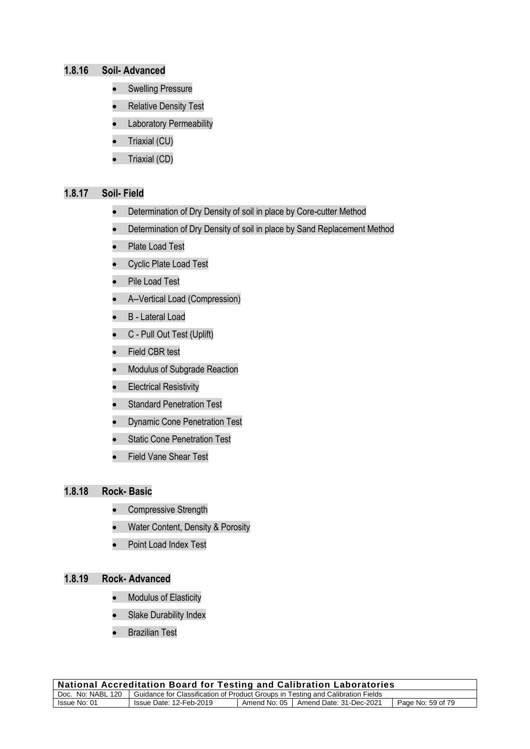#### **1.8.16 Soil- Advanced**

- Swelling Pressure
- Relative Density Test
- Laboratory Permeability
- Triaxial (CU)
- Triaxial (CD)

#### **1.8.17 Soil- Field**

- Determination of Dry Density of soil in place by Core-cutter Method
- Determination of Dry Density of soil in place by Sand Replacement Method
- Plate Load Test
- Cyclic Plate Load Test
- Pile Load Test
- A--Vertical Load (Compression)
- B Lateral Load
- C Pull Out Test (Uplift)
- Field CBR test
- Modulus of Subgrade Reaction
- Electrical Resistivity
- Standard Penetration Test
- Dynamic Cone Penetration Test
- Static Cone Penetration Test
- Field Vane Shear Test

#### **1.8.18 Rock- Basic**

- Compressive Strength
- Water Content, Density & Porosity
- Point Load Index Test

### **1.8.19 Rock- Advanced**

- Modulus of Elasticity
- Slake Durability Index
- Brazilian Test

| <b>National Accreditation Board for Testing and Calibration Laboratories</b>                        |                         |  |                                        |                   |
|-----------------------------------------------------------------------------------------------------|-------------------------|--|----------------------------------------|-------------------|
| Doc. No: NABL 120   Guidance for Classification of Product Groups in Testing and Calibration Fields |                         |  |                                        |                   |
| Issue No: 01                                                                                        | Issue Date: 12-Feb-2019 |  | Amend No: 05   Amend Date: 31-Dec-2021 | Page No: 59 of 79 |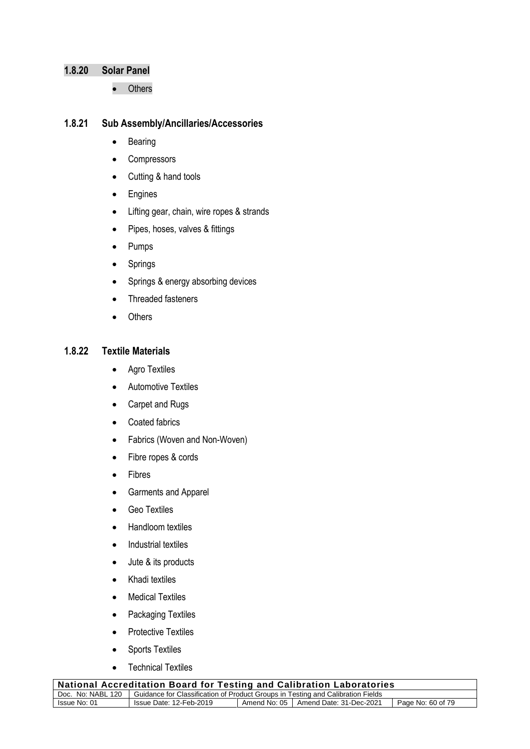#### **1.8.20 Solar Panel**

• Others

#### **1.8.21 Sub Assembly/Ancillaries/Accessories**

- Bearing
- Compressors
- Cutting & hand tools
- Engines
- Lifting gear, chain, wire ropes & strands
- Pipes, hoses, valves & fittings
- Pumps
- Springs
- Springs & energy absorbing devices
- Threaded fasteners
- Others

#### **1.8.22 Textile Materials**

- Agro Textiles
- Automotive Textiles
- Carpet and Rugs
- Coated fabrics
- Fabrics (Woven and Non-Woven)
- Fibre ropes & cords
- Fibres
- Garments and Apparel
- Geo Textiles
- Handloom textiles
- Industrial textiles
- Jute & its products
- Khadi textiles
- Medical Textiles
- Packaging Textiles
- Protective Textiles
- Sports Textiles
- Technical Textiles

| National Accreditation Board for Testing and Calibration Laboratories                               |                         |  |                                        |                   |
|-----------------------------------------------------------------------------------------------------|-------------------------|--|----------------------------------------|-------------------|
| Doc. No: NABL 120   Guidance for Classification of Product Groups in Testing and Calibration Fields |                         |  |                                        |                   |
| Issue No: 01                                                                                        | Issue Date: 12-Feb-2019 |  | Amend No: 05   Amend Date: 31-Dec-2021 | Page No: 60 of 79 |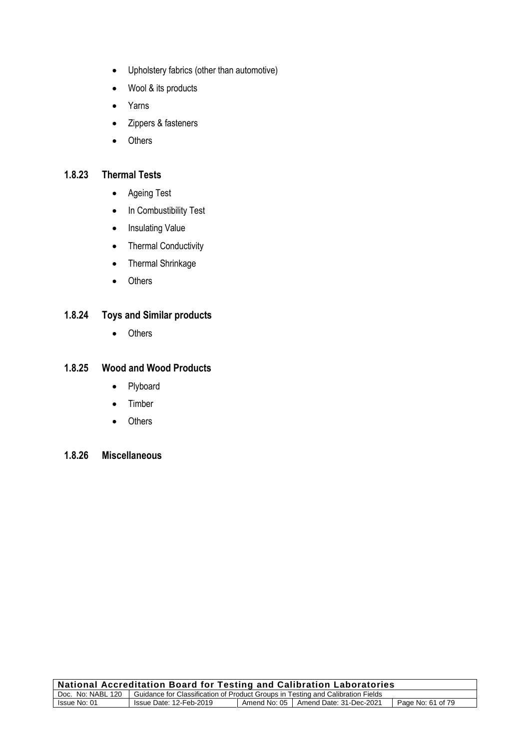- Upholstery fabrics (other than automotive)
- Wool & its products
- Yarns
- Zippers & fasteners
- Others

#### **1.8.23 Thermal Tests**

- Ageing Test
- In Combustibility Test
- Insulating Value
- Thermal Conductivity
- Thermal Shrinkage
- Others

# **1.8.24 Toys and Similar products**

• Others

### **1.8.25 Wood and Wood Products**

- Plyboard
- Timber
- Others

# **1.8.26 Miscellaneous**

| $_{\rm i}$ National Accreditation Board for Testing and Calibration Laboratories                    |                         |  |                                        |                   |
|-----------------------------------------------------------------------------------------------------|-------------------------|--|----------------------------------------|-------------------|
| Doc. No: NABL 120   Guidance for Classification of Product Groups in Testing and Calibration Fields |                         |  |                                        |                   |
| Issue No: 01                                                                                        | Issue Date: 12-Feb-2019 |  | Amend No: 05   Amend Date: 31-Dec-2021 | Page No: 61 of 79 |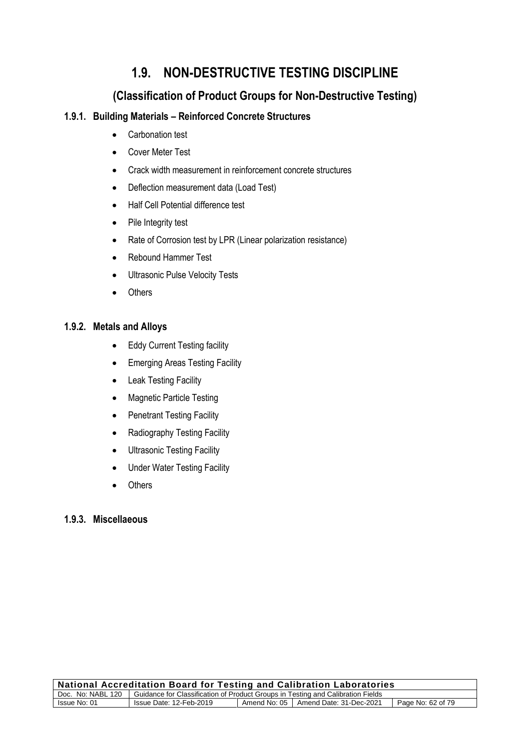# **1.9. NON-DESTRUCTIVE TESTING DISCIPLINE**

# **(Classification of Product Groups for Non-Destructive Testing)**

## **1.9.1. Building Materials – Reinforced Concrete Structures**

- Carbonation test
- Cover Meter Test
- Crack width measurement in reinforcement concrete structures
- Deflection measurement data (Load Test)
- Half Cell Potential difference test
- Pile Integrity test
- Rate of Corrosion test by LPR (Linear polarization resistance)
- Rebound Hammer Test
- Ultrasonic Pulse Velocity Tests
- Others

#### **1.9.2. Metals and Alloys**

- Eddy Current Testing facility
- Emerging Areas Testing Facility
- Leak Testing Facility
- Magnetic Particle Testing
- Penetrant Testing Facility
- Radiography Testing Facility
- Ultrasonic Testing Facility
- Under Water Testing Facility
- Others

### **1.9.3. Miscellaeous**

| <b>National Accreditation Board for Testing and Calibration Laboratories</b>                        |                         |  |                                        |                   |
|-----------------------------------------------------------------------------------------------------|-------------------------|--|----------------------------------------|-------------------|
| Doc. No: NABL 120   Guidance for Classification of Product Groups in Testing and Calibration Fields |                         |  |                                        |                   |
| Issue No: 01                                                                                        | Issue Date: 12-Feb-2019 |  | Amend No: 05   Amend Date: 31-Dec-2021 | Page No: 62 of 79 |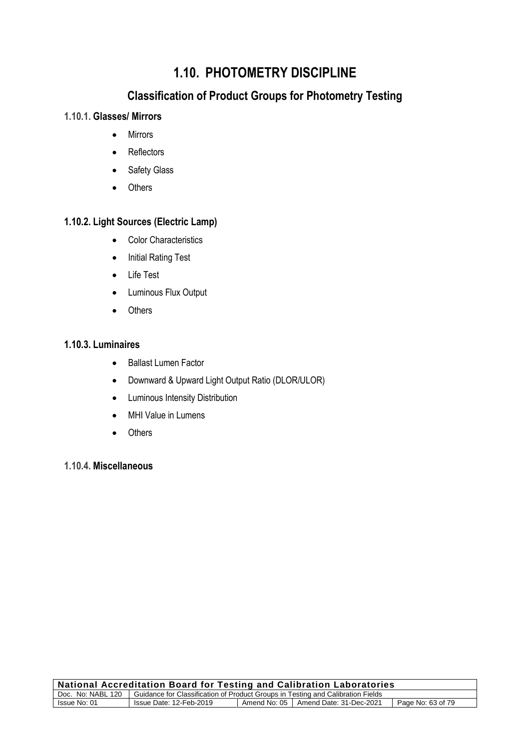# **1.10. PHOTOMETRY DISCIPLINE**

# **Classification of Product Groups for Photometry Testing**

# **1.10.1. Glasses/ Mirrors**

- Mirrors
- Reflectors
- Safety Glass
- Others

# **1.10.2. Light Sources (Electric Lamp)**

- Color Characteristics
- Initial Rating Test
- Life Test
- Luminous Flux Output
- Others

### **1.10.3. Luminaires**

- Ballast Lumen Factor
- Downward & Upward Light Output Ratio (DLOR/ULOR)
- Luminous Intensity Distribution
- MHI Value in Lumens
- Others

## **1.10.4. Miscellaneous**

| <b>National Accreditation Board for Testing and Calibration Laboratories</b>                        |                         |  |                                        |                   |
|-----------------------------------------------------------------------------------------------------|-------------------------|--|----------------------------------------|-------------------|
| Doc. No: NABL 120   Guidance for Classification of Product Groups in Testing and Calibration Fields |                         |  |                                        |                   |
| Issue No: 01                                                                                        | Issue Date: 12-Feb-2019 |  | Amend No: 05   Amend Date: 31-Dec-2021 | Page No: 63 of 79 |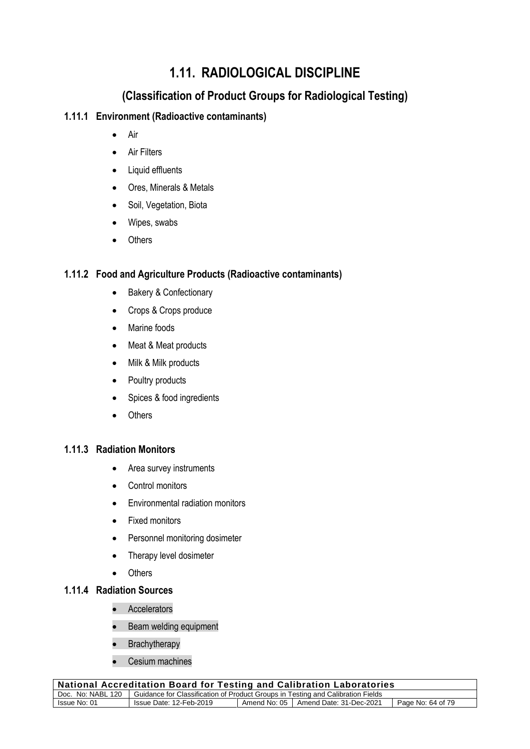# **1.11. RADIOLOGICAL DISCIPLINE**

# **(Classification of Product Groups for Radiological Testing)**

## **1.11.1 Environment (Radioactive contaminants)**

- Air
- **Air Filters**
- Liquid effluents
- Ores, Minerals & Metals
- Soil, Vegetation, Biota
- Wipes, swabs
- Others

# **1.11.2 Food and Agriculture Products (Radioactive contaminants)**

- Bakery & Confectionary
- Crops & Crops produce
- Marine foods
- Meat & Meat products
- Milk & Milk products
- Poultry products
- Spices & food ingredients
- Others

#### **1.11.3 Radiation Monitors**

- Area survey instruments
- Control monitors
- Environmental radiation monitors
- Fixed monitors
- Personnel monitoring dosimeter
- Therapy level dosimeter
- Others

## **1.11.4 Radiation Sources**

- Accelerators
- Beam welding equipment
- Brachytherapy
- Cesium machines

| $\mid$ National Accreditation Board for Testing and Calibration Laboratories                        |                         |  |                                        |                   |
|-----------------------------------------------------------------------------------------------------|-------------------------|--|----------------------------------------|-------------------|
| Doc. No: NABL 120   Guidance for Classification of Product Groups in Testing and Calibration Fields |                         |  |                                        |                   |
| Issue No: 01                                                                                        | Issue Date: 12-Feb-2019 |  | Amend No: 05   Amend Date: 31-Dec-2021 | Page No: 64 of 79 |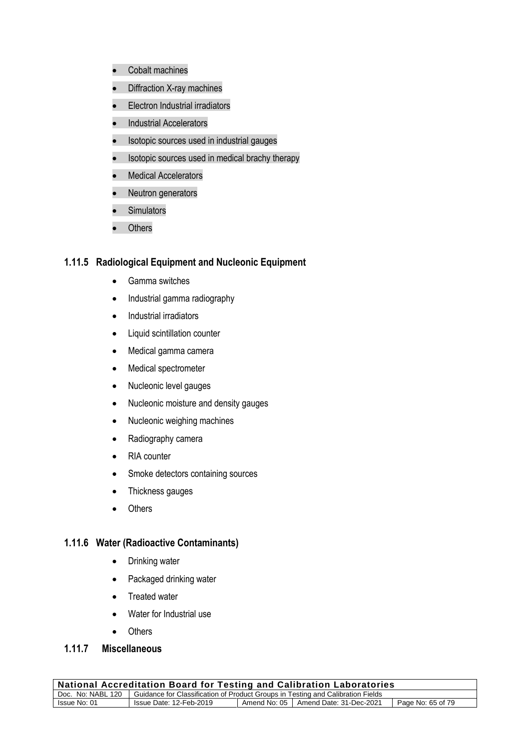- Cobalt machines
- Diffraction X-ray machines
- Electron Industrial irradiators
- Industrial Accelerators
- Isotopic sources used in industrial gauges
- Isotopic sources used in medical brachy therapy
- Medical Accelerators
- Neutron generators
- Simulators
- Others

#### **1.11.5 Radiological Equipment and Nucleonic Equipment**

- Gamma switches
- Industrial gamma radiography
- Industrial irradiators
- Liquid scintillation counter
- Medical gamma camera
- Medical spectrometer
- Nucleonic level gauges
- Nucleonic moisture and density gauges
- Nucleonic weighing machines
- Radiography camera
- RIA counter
- Smoke detectors containing sources
- Thickness gauges
- Others

#### **1.11.6 Water (Radioactive Contaminants)**

- Drinking water
- Packaged drinking water
- Treated water
- Water for Industrial use
- Others

# **1.11.7 Miscellaneous**

| National Accreditation Board for Testing and Calibration Laboratories                               |                                                                                        |  |  |  |
|-----------------------------------------------------------------------------------------------------|----------------------------------------------------------------------------------------|--|--|--|
| Doc. No: NABL 120   Guidance for Classification of Product Groups in Testing and Calibration Fields |                                                                                        |  |  |  |
| Issue No: 01                                                                                        | Amend No: 05   Amend Date: 31-Dec-2021<br>Issue Date: 12-Feb-2019<br>Page No: 65 of 79 |  |  |  |
|                                                                                                     |                                                                                        |  |  |  |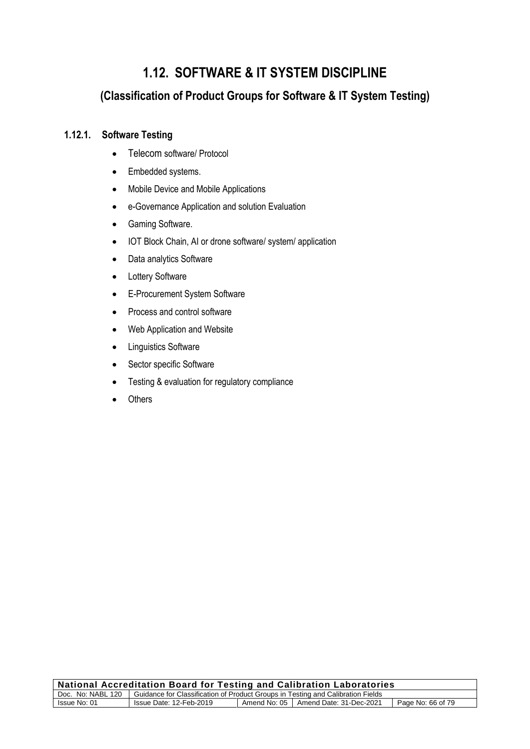# **1.12. SOFTWARE & IT SYSTEM DISCIPLINE**

# **(Classification of Product Groups for Software & IT System Testing)**

# **1.12.1. Software Testing**

- Telecom software/ Protocol
- Embedded systems.
- Mobile Device and Mobile Applications
- e-Governance Application and solution Evaluation
- Gaming Software.
- IOT Block Chain, AI or drone software/ system/ application
- Data analytics Software
- Lottery Software
- E-Procurement System Software
- Process and control software
- Web Application and Website
- Linguistics Software
- Sector specific Software
- Testing & evaluation for regulatory compliance
- **Others**

| <b>National Accreditation Board for Testing and Calibration Laboratories</b>                        |                         |  |                                        |                   |
|-----------------------------------------------------------------------------------------------------|-------------------------|--|----------------------------------------|-------------------|
| Doc. No: NABL 120   Guidance for Classification of Product Groups in Testing and Calibration Fields |                         |  |                                        |                   |
| Issue No: 01                                                                                        | Issue Date: 12-Feb-2019 |  | Amend No: 05   Amend Date: 31-Dec-2021 | Page No: 66 of 79 |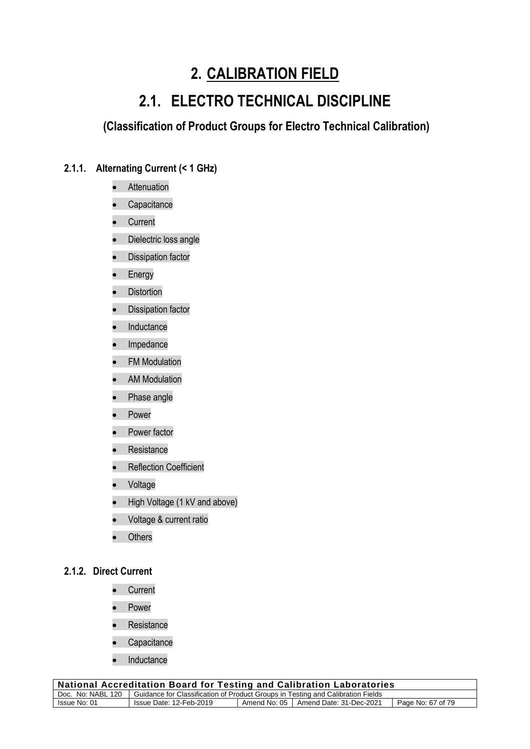# **2. CALIBRATION FIELD**

# **2.1. ELECTRO TECHNICAL DISCIPLINE**

**(Classification of Product Groups for Electro Technical Calibration)**

# **2.1.1. Alternating Current (< 1 GHz)**

- Attenuation
- **Capacitance**
- Current
- Dielectric loss angle
- Dissipation factor
- Energy
- Distortion
- Dissipation factor
- **Inductance**
- Impedance
- FM Modulation
- AM Modulation
- Phase angle
- **Power**
- Power factor
- Resistance
- Reflection Coefficient
- Voltage
- High Voltage (1 kV and above)
- Voltage & current ratio
- Others

#### **2.1.2. Direct Current**

- Current
- **Power**
- Resistance
- **Capacitance**
- Inductance

| National Accreditation Board for Testing and Calibration Laboratories                               |                         |  |                                        |                   |
|-----------------------------------------------------------------------------------------------------|-------------------------|--|----------------------------------------|-------------------|
| Doc. No: NABL 120   Guidance for Classification of Product Groups in Testing and Calibration Fields |                         |  |                                        |                   |
| Issue No: 01                                                                                        | Issue Date: 12-Feb-2019 |  | Amend No: 05   Amend Date: 31-Dec-2021 | Page No: 67 of 79 |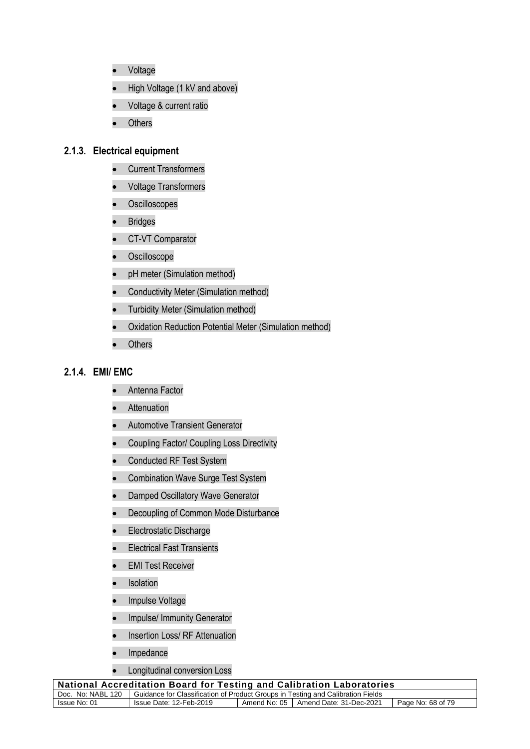- Voltage
- High Voltage (1 kV and above)
- Voltage & current ratio
- Others

#### **2.1.3. Electrical equipment**

- Current Transformers
- Voltage Transformers
- Oscilloscopes
- Bridges
- CT-VT Comparator
- Oscilloscope
- pH meter (Simulation method)
- Conductivity Meter (Simulation method)
- Turbidity Meter (Simulation method)
- Oxidation Reduction Potential Meter (Simulation method)
- **Others**

#### **2.1.4. EMI/ EMC**

- Antenna Factor
- Attenuation
- Automotive Transient Generator
- Coupling Factor/ Coupling Loss Directivity
- Conducted RF Test System
- Combination Wave Surge Test System
- Damped Oscillatory Wave Generator
- Decoupling of Common Mode Disturbance
- Electrostatic Discharge
- Electrical Fast Transients
- EMI Test Receiver
- Isolation
- Impulse Voltage
- Impulse/ Immunity Generator
- Insertion Loss/ RF Attenuation
- **Impedance**
- Longitudinal conversion Loss

| <b>National Accreditation Board for Testing and Calibration Laboratories</b>                        |                                                                                        |  |  |  |
|-----------------------------------------------------------------------------------------------------|----------------------------------------------------------------------------------------|--|--|--|
| Doc. No: NABL 120   Guidance for Classification of Product Groups in Testing and Calibration Fields |                                                                                        |  |  |  |
| Issue No: 01                                                                                        | Amend No: 05   Amend Date: 31-Dec-2021<br>Page No: 68 of 79<br>Issue Date: 12-Feb-2019 |  |  |  |
|                                                                                                     |                                                                                        |  |  |  |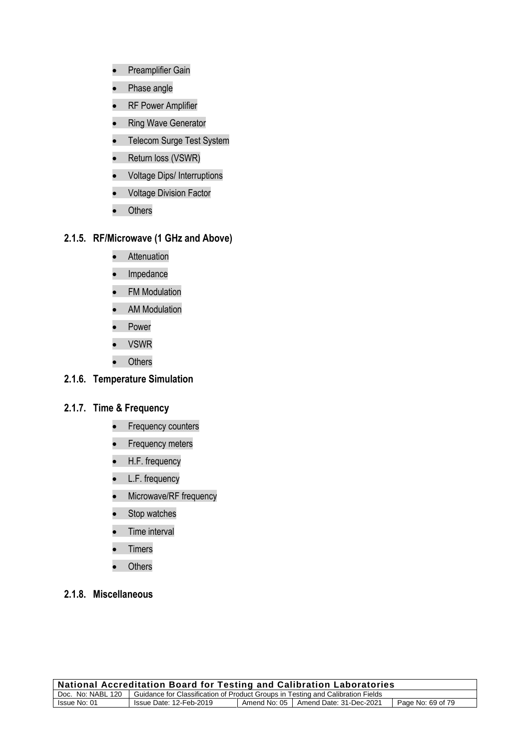- Preamplifier Gain
- Phase angle
- RF Power Amplifier
- Ring Wave Generator
- Telecom Surge Test System
- Return loss (VSWR)
- Voltage Dips/ Interruptions
- Voltage Division Factor
- Others

#### **2.1.5. RF/Microwave (1 GHz and Above)**

- Attenuation
- Impedance
- FM Modulation
- AM Modulation
- Power
- VSWR
- Others

## **2.1.6. Temperature Simulation**

# **2.1.7. Time & Frequency**

- Frequency counters
- Frequency meters
- H.F. frequency
- L.F. frequency
- Microwave/RF frequency
- Stop watches
- Time interval
- **Timers**
- Others
- **2.1.8. Miscellaneous**

| <b>National Accreditation Board for Testing and Calibration Laboratories</b>                        |                         |  |                                        |                   |
|-----------------------------------------------------------------------------------------------------|-------------------------|--|----------------------------------------|-------------------|
| Doc. No: NABL 120   Guidance for Classification of Product Groups in Testing and Calibration Fields |                         |  |                                        |                   |
| Issue No: 01                                                                                        | Issue Date: 12-Feb-2019 |  | Amend No: 05   Amend Date: 31-Dec-2021 | Page No: 69 of 79 |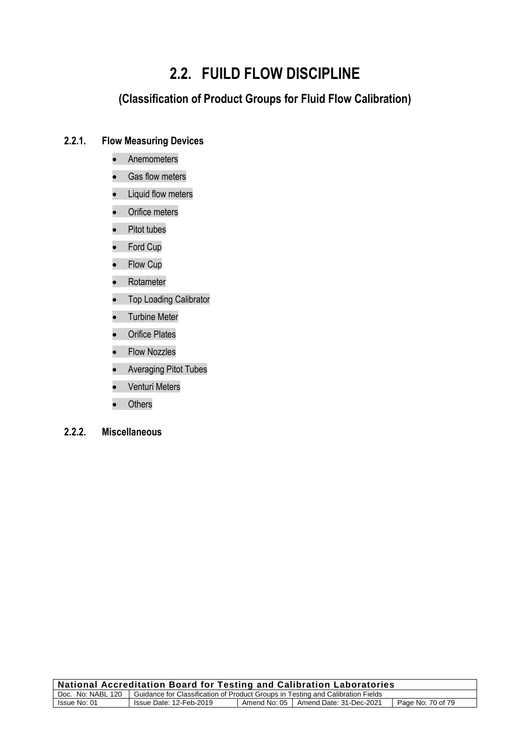# **2.2. FUILD FLOW DISCIPLINE**

# **(Classification of Product Groups for Fluid Flow Calibration)**

#### **2.2.1. Flow Measuring Devices**

- Anemometers
- Gas flow meters
- Liquid flow meters
- Orifice meters
- Pitot tubes
- Ford Cup
- Flow Cup
- Rotameter
- Top Loading Calibrator
- Turbine Meter
- Orifice Plates
- Flow Nozzles
- Averaging Pitot Tubes
- Venturi Meters
- Others
- **2.2.2. Miscellaneous**

| <b>National Accreditation Board for Testing and Calibration Laboratories</b>                        |                         |  |                                        |                   |
|-----------------------------------------------------------------------------------------------------|-------------------------|--|----------------------------------------|-------------------|
| Doc. No: NABL 120   Guidance for Classification of Product Groups in Testing and Calibration Fields |                         |  |                                        |                   |
| Issue No: 01                                                                                        | Issue Date: 12-Feb-2019 |  | Amend No: 05   Amend Date: 31-Dec-2021 | Page No: 70 of 79 |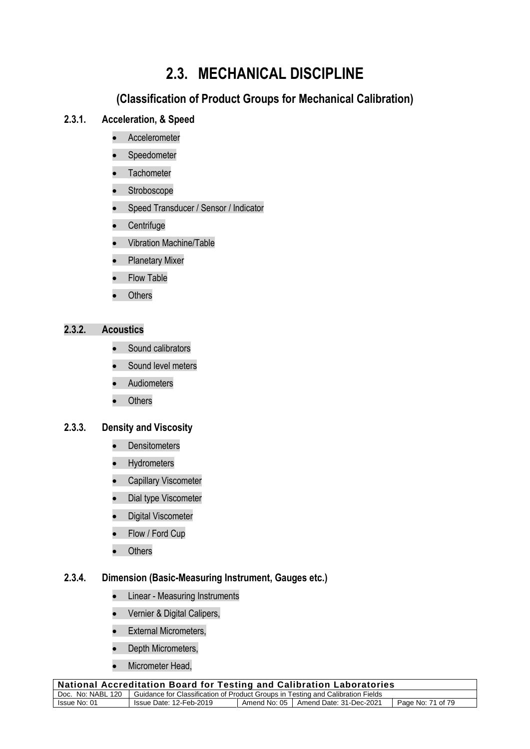# **2.3. MECHANICAL DISCIPLINE**

# **(Classification of Product Groups for Mechanical Calibration)**

## **2.3.1. Acceleration, & Speed**

- Accelerometer
- **Speedometer**
- Tachometer
- Stroboscope
- Speed Transducer / Sensor / Indicator
- Centrifuge
- Vibration Machine/Table
- Planetary Mixer
- **Flow Table**
- **Others**

## **2.3.2. Acoustics**

- Sound calibrators
- Sound level meters
- **Audiometers**
- Others

### **2.3.3. Density and Viscosity**

- Densitometers
- Hydrometers
- Capillary Viscometer
- Dial type Viscometer
- Digital Viscometer
- Flow / Ford Cup
- Others

### **2.3.4. Dimension (Basic-Measuring Instrument, Gauges etc.)**

- Linear Measuring Instruments
- Vernier & Digital Calipers,
- **External Micrometers,**
- Depth Micrometers,
- Micrometer Head,

| <b>National Accreditation Board for Testing and Calibration Laboratories</b>                        |                         |  |                                        |                   |
|-----------------------------------------------------------------------------------------------------|-------------------------|--|----------------------------------------|-------------------|
| Doc. No: NABL 120   Guidance for Classification of Product Groups in Testing and Calibration Fields |                         |  |                                        |                   |
| Issue No: 01                                                                                        | Issue Date: 12-Feb-2019 |  | Amend No: 05   Amend Date: 31-Dec-2021 | Page No: 71 of 79 |
|                                                                                                     |                         |  |                                        |                   |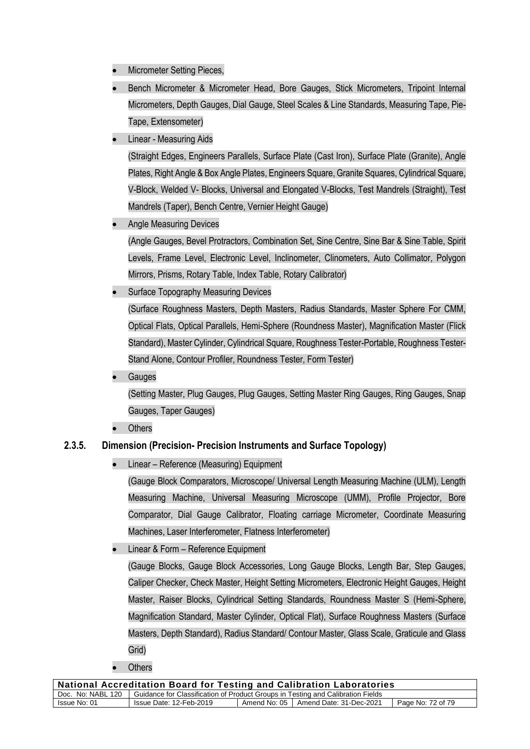- Micrometer Setting Pieces,
- Bench Micrometer & Micrometer Head, Bore Gauges, Stick Micrometers, Tripoint Internal Micrometers, Depth Gauges, Dial Gauge, Steel Scales & Line Standards, Measuring Tape, Pie-Tape, Extensometer)
- Linear Measuring Aids

(Straight Edges, Engineers Parallels, Surface Plate (Cast Iron), Surface Plate (Granite), Angle Plates, Right Angle & Box Angle Plates, Engineers Square, Granite Squares, Cylindrical Square, V-Block, Welded V- Blocks, Universal and Elongated V-Blocks, Test Mandrels (Straight), Test Mandrels (Taper), Bench Centre, Vernier Height Gauge)

• Angle Measuring Devices

(Angle Gauges, Bevel Protractors, Combination Set, Sine Centre, Sine Bar & Sine Table, Spirit Levels, Frame Level, Electronic Level, Inclinometer, Clinometers, Auto Collimator, Polygon Mirrors, Prisms, Rotary Table, Index Table, Rotary Calibrator)

- Surface Topography Measuring Devices (Surface Roughness Masters, Depth Masters, Radius Standards, Master Sphere For CMM, Optical Flats, Optical Parallels, Hemi-Sphere (Roundness Master), Magnification Master (Flick Standard), Master Cylinder, Cylindrical Square, Roughness Tester-Portable, Roughness Tester-Stand Alone, Contour Profiler, Roundness Tester, Form Tester)
- Gauges

(Setting Master, Plug Gauges, Plug Gauges, Setting Master Ring Gauges, Ring Gauges, Snap Gauges, Taper Gauges)

**Others** 

## **2.3.5. Dimension (Precision- Precision Instruments and Surface Topology)**

• Linear – Reference (Measuring) Equipment

(Gauge Block Comparators, Microscope/ Universal Length Measuring Machine (ULM), Length Measuring Machine, Universal Measuring Microscope (UMM), Profile Projector, Bore Comparator, Dial Gauge Calibrator, Floating carriage Micrometer, Coordinate Measuring Machines, Laser Interferometer, Flatness Interferometer)

• Linear & Form – Reference Equipment

(Gauge Blocks, Gauge Block Accessories, Long Gauge Blocks, Length Bar, Step Gauges, Caliper Checker, Check Master, Height Setting Micrometers, Electronic Height Gauges, Height Master, Raiser Blocks, Cylindrical Setting Standards, Roundness Master S (Hemi-Sphere, Magnification Standard, Master Cylinder, Optical Flat), Surface Roughness Masters (Surface Masters, Depth Standard), Radius Standard/ Contour Master, Glass Scale, Graticule and Glass Grid)

**Others** 

| <b>National Accreditation Board for Testing and Calibration Laboratories</b>                        |                         |  |                                        |                   |  |
|-----------------------------------------------------------------------------------------------------|-------------------------|--|----------------------------------------|-------------------|--|
| Doc. No: NABL 120   Guidance for Classification of Product Groups in Testing and Calibration Fields |                         |  |                                        |                   |  |
| Issue No: 01                                                                                        | Issue Date: 12-Feb-2019 |  | Amend No: 05   Amend Date: 31-Dec-2021 | Page No: 72 of 79 |  |
|                                                                                                     |                         |  |                                        |                   |  |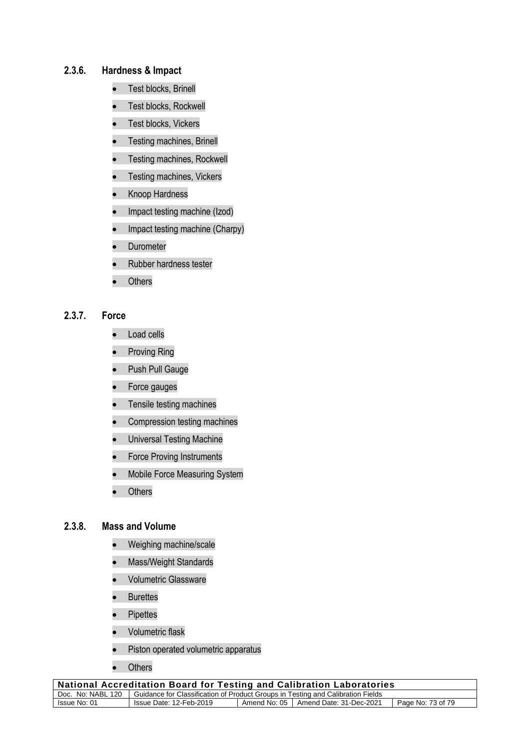### **2.3.6. Hardness & Impact**

- Test blocks, Brinell
- Test blocks, Rockwell
- Test blocks, Vickers
- Testing machines, Brinell
- Testing machines, Rockwell
- Testing machines, Vickers
- Knoop Hardness
- Impact testing machine (Izod)
- Impact testing machine (Charpy)
- **Durometer**
- Rubber hardness tester
- **Others**

#### **2.3.7. Force**

- Load cells
- Proving Ring
- Push Pull Gauge
- Force gauges
- Tensile testing machines
- Compression testing machines
- Universal Testing Machine
- Force Proving Instruments
- Mobile Force Measuring System
- **Others**

#### **2.3.8. Mass and Volume**

- Weighing machine/scale
- Mass/Weight Standards
- Volumetric Glassware
- Burettes
- Pipettes
- Volumetric flask
- Piston operated volumetric apparatus
- Others

| <b>National Accreditation Board for Testing and Calibration Laboratories</b>                        |                         |  |                                        |                   |  |
|-----------------------------------------------------------------------------------------------------|-------------------------|--|----------------------------------------|-------------------|--|
| Doc. No: NABL 120   Guidance for Classification of Product Groups in Testing and Calibration Fields |                         |  |                                        |                   |  |
| Issue No: 01                                                                                        | Issue Date: 12-Feb-2019 |  | Amend No: 05   Amend Date: 31-Dec-2021 | Page No: 73 of 79 |  |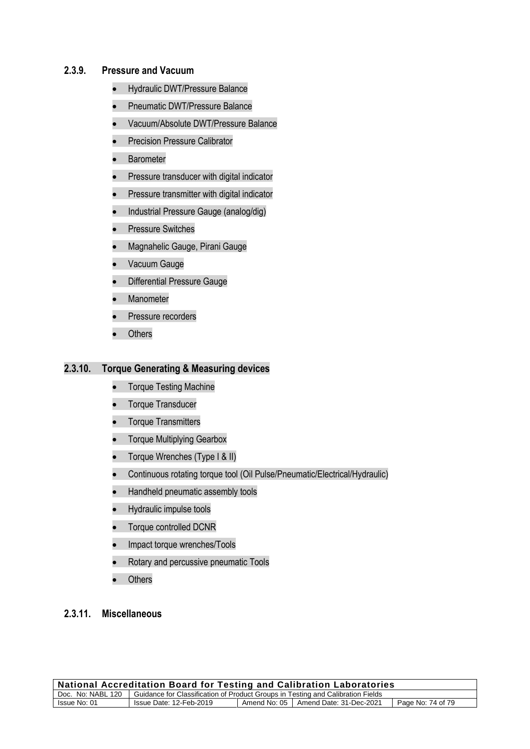### **2.3.9. Pressure and Vacuum**

- Hydraulic DWT/Pressure Balance
- Pneumatic DWT/Pressure Balance
- Vacuum/Absolute DWT/Pressure Balance
- Precision Pressure Calibrator
- Barometer
- Pressure transducer with digital indicator
- Pressure transmitter with digital indicator
- Industrial Pressure Gauge (analog/dig)
- Pressure Switches
- Magnahelic Gauge, Pirani Gauge
- Vacuum Gauge
- Differential Pressure Gauge
- Manometer
- Pressure recorders
- Others

#### **2.3.10. Torque Generating & Measuring devices**

- Torque Testing Machine
- Torque Transducer
- Torque Transmitters
- Torque Multiplying Gearbox
- Torque Wrenches (Type I & II)
- Continuous rotating torque tool (Oil Pulse/Pneumatic/Electrical/Hydraulic)
- Handheld pneumatic assembly tools
- Hydraulic impulse tools
- Torque controlled DCNR
- Impact torque wrenches/Tools
- Rotary and percussive pneumatic Tools
- **Others**

## **2.3.11. Miscellaneous**

| <b>National Accreditation Board for Testing and Calibration Laboratories</b>                        |                         |  |                                        |                   |  |
|-----------------------------------------------------------------------------------------------------|-------------------------|--|----------------------------------------|-------------------|--|
| Doc. No: NABL 120   Guidance for Classification of Product Groups in Testing and Calibration Fields |                         |  |                                        |                   |  |
| Issue No: 01                                                                                        | Issue Date: 12-Feb-2019 |  | Amend No: 05   Amend Date: 31-Dec-2021 | Page No: 74 of 79 |  |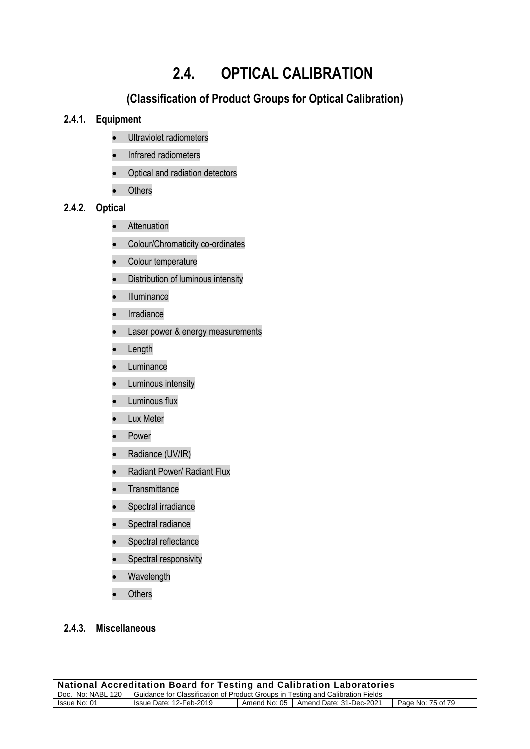# **2.4. OPTICAL CALIBRATION**

## **(Classification of Product Groups for Optical Calibration)**

## **2.4.1. Equipment**

- Ultraviolet radiometers
- Infrared radiometers
- Optical and radiation detectors
- Others

## **2.4.2. Optical**

- Attenuation
- Colour/Chromaticity co-ordinates
- Colour temperature
- Distribution of luminous intensity
- Illuminance
- Irradiance
- Laser power & energy measurements
- Length
- Luminance
- Luminous intensity
- Luminous flux
- Lux Meter
- Power
- Radiance (UV/IR)
- Radiant Power/ Radiant Flux
- Transmittance
- Spectral irradiance
- Spectral radiance
- Spectral reflectance
- Spectral responsivity
- **Wavelength**
- **Others**

## **2.4.3. Miscellaneous**

| <b>National Accreditation Board for Testing and Calibration Laboratories</b>                        |  |  |  |  |  |
|-----------------------------------------------------------------------------------------------------|--|--|--|--|--|
| Doc. No: NABL 120   Guidance for Classification of Product Groups in Testing and Calibration Fields |  |  |  |  |  |
|                                                                                                     |  |  |  |  |  |
| Page No: 75 of 79                                                                                   |  |  |  |  |  |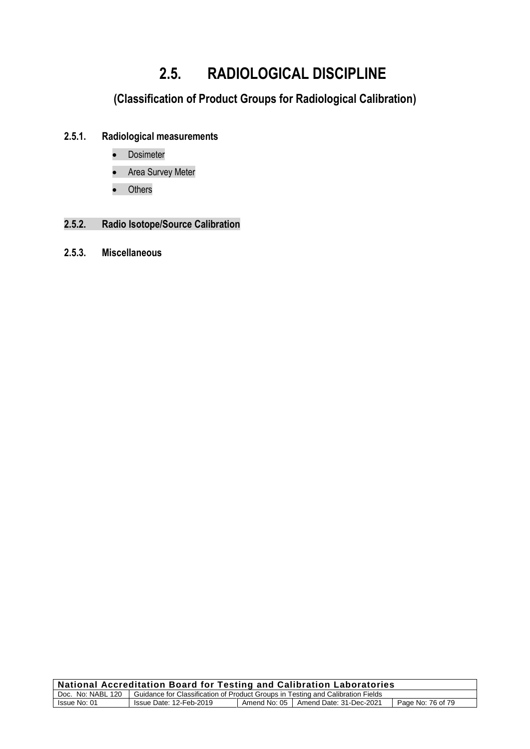# **2.5. RADIOLOGICAL DISCIPLINE**

# **(Classification of Product Groups for Radiological Calibration)**

## **2.5.1. Radiological measurements**

- **Dosimeter**
- Area Survey Meter
- Others

## **2.5.2. Radio Isotope/Source Calibration**

**2.5.3. Miscellaneous** 

| National Accreditation Board for Testing and Calibration Laboratories                               |                         |  |                                        |                   |  |
|-----------------------------------------------------------------------------------------------------|-------------------------|--|----------------------------------------|-------------------|--|
| Doc. No: NABL 120   Guidance for Classification of Product Groups in Testing and Calibration Fields |                         |  |                                        |                   |  |
| Issue No: 01                                                                                        | Issue Date: 12-Feb-2019 |  | Amend No: 05   Amend Date: 31-Dec-2021 | Page No: 76 of 79 |  |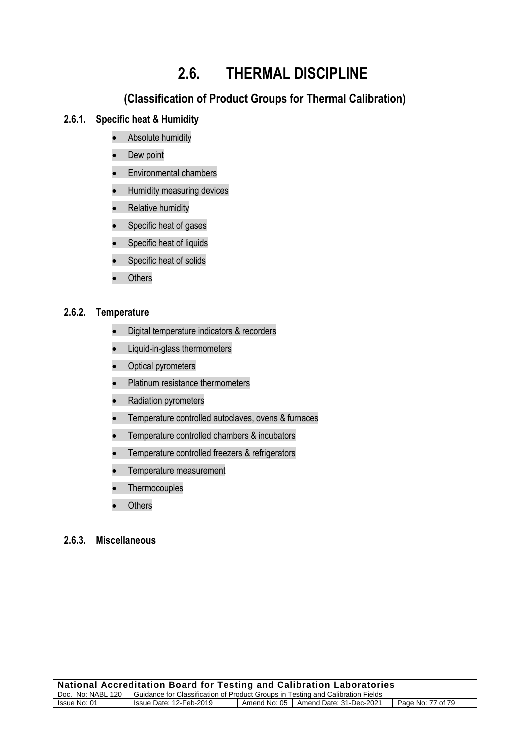# **2.6. THERMAL DISCIPLINE**

## **(Classification of Product Groups for Thermal Calibration)**

## **2.6.1. Specific heat & Humidity**

- Absolute humidity
- Dew point
- Environmental chambers
- Humidity measuring devices
- Relative humidity
- Specific heat of gases
- Specific heat of liquids
- Specific heat of solids
- Others

### **2.6.2. Temperature**

- Digital temperature indicators & recorders
- Liquid-in-glass thermometers
- Optical pyrometers
- Platinum resistance thermometers
- Radiation pyrometers
- Temperature controlled autoclaves, ovens & furnaces
- Temperature controlled chambers & incubators
- Temperature controlled freezers & refrigerators
- Temperature measurement
- **Thermocouples**
- **Others**

### **2.6.3. Miscellaneous**

| <b>National Accreditation Board for Testing and Calibration Laboratories</b>                        |                         |  |                                        |                   |  |
|-----------------------------------------------------------------------------------------------------|-------------------------|--|----------------------------------------|-------------------|--|
| Doc. No: NABL 120   Guidance for Classification of Product Groups in Testing and Calibration Fields |                         |  |                                        |                   |  |
| Issue No: 01                                                                                        | Issue Date: 12-Feb-2019 |  | Amend No: 05   Amend Date: 31-Dec-2021 | Page No: 77 of 79 |  |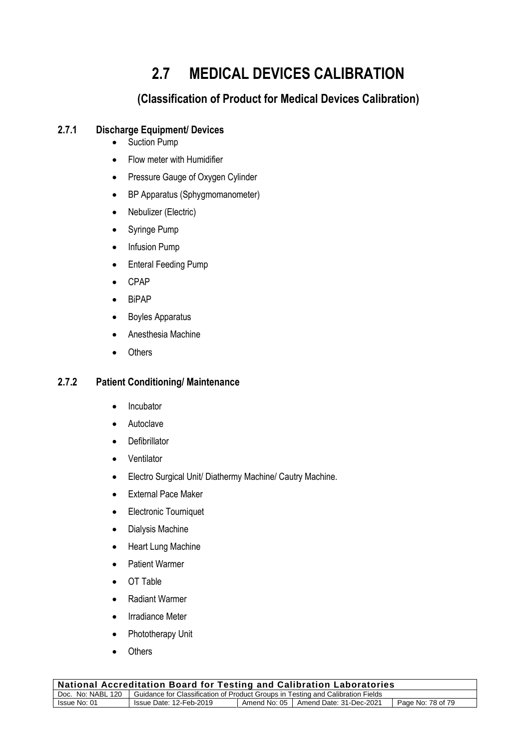# **2.7 MEDICAL DEVICES CALIBRATION**

## **(Classification of Product for Medical Devices Calibration)**

## **2.7.1 Discharge Equipment/ Devices**

- Suction Pump
- Flow meter with Humidifier
- Pressure Gauge of Oxygen Cylinder
- BP Apparatus (Sphygmomanometer)
- Nebulizer (Electric)
- Syringe Pump
- Infusion Pump
- Enteral Feeding Pump
- CPAP
- BiPAP
- Boyles Apparatus
- Anesthesia Machine
- Others

## **2.7.2 Patient Conditioning/ Maintenance**

- Incubator
- **Autoclave**
- Defibrillator
- Ventilator
- Electro Surgical Unit/ Diathermy Machine/ Cautry Machine.
- External Pace Maker
- Electronic Tourniquet
- Dialysis Machine
- Heart Lung Machine
- Patient Warmer
- OT Table
- Radiant Warmer
- Irradiance Meter
- Phototherapy Unit
- **Others**

| Doc. No: NABL 120   Guidance for Classification of Product Groups in Testing and Calibration Fields | <b>National Accreditation Board for Testing and Calibration Laboratories</b> |                         |  |  |                   |  |
|-----------------------------------------------------------------------------------------------------|------------------------------------------------------------------------------|-------------------------|--|--|-------------------|--|
|                                                                                                     |                                                                              |                         |  |  |                   |  |
| Amend No: 05   Amend Date: 31-Dec-2021                                                              | Issue No: 01                                                                 | Issue Date: 12-Feb-2019 |  |  | Page No: 78 of 79 |  |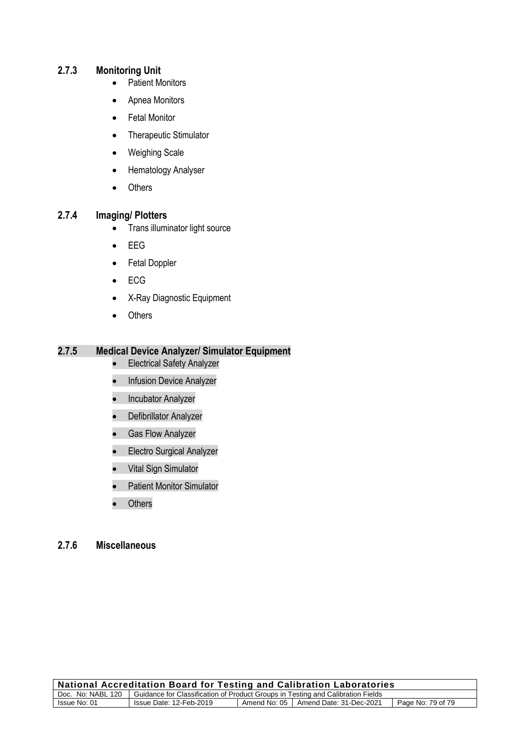## **2.7.3 Monitoring Unit**

- Patient Monitors
- Apnea Monitors
- Fetal Monitor
- Therapeutic Stimulator
- Weighing Scale
- Hematology Analyser
- Others

### **2.7.4 Imaging/ Plotters**

- Trans illuminator light source
- EEG
- Fetal Doppler
- ECG
- X-Ray Diagnostic Equipment
- Others

## **2.7.5 Medical Device Analyzer/ Simulator Equipment**

- Electrical Safety Analyzer
- Infusion Device Analyzer
- Incubator Analyzer
- Defibrillator Analyzer
- Gas Flow Analyzer
- Electro Surgical Analyzer
- Vital Sign Simulator
- Patient Monitor Simulator
- Others

## **2.7.6 Miscellaneous**

| <b>National Accreditation Board for Testing and Calibration Laboratories</b>                         |                         |              |                         |                   |  |
|------------------------------------------------------------------------------------------------------|-------------------------|--------------|-------------------------|-------------------|--|
| Guidance for Classification of Product Groups in Testing and Calibration Fields<br>Doc. No: NABL 120 |                         |              |                         |                   |  |
| Issue No: 01                                                                                         | Issue Date: 12-Feb-2019 | Amend No: 05 | Amend Date: 31-Dec-2021 | Page No: 79 of 79 |  |